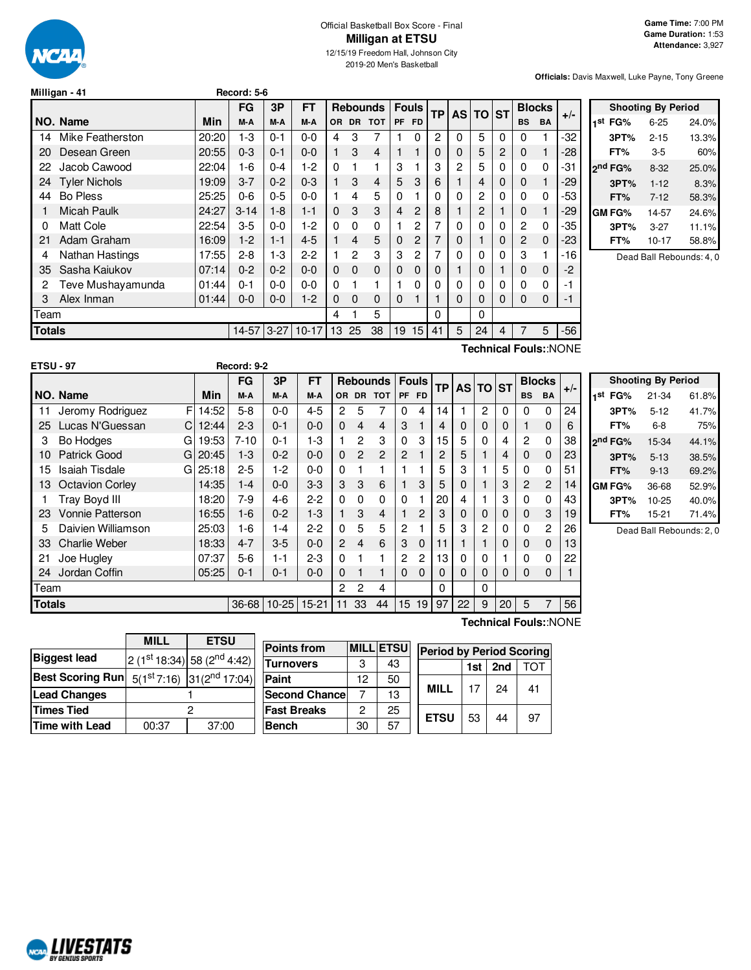

#### Official Basketball Box Score - Final **Milligan at ETSU** 12/15/19 Freedom Hall, Johnson City

2019-20 Men's Basketball

**Officials:** Davis Maxwell, Luke Payne, Tony Greene

|               | Milligan - 41        |       | Record: 5-6 |          |           |          |             |                 |   |              |           |   |          |   |                |             |                       |                     |                           |                          |
|---------------|----------------------|-------|-------------|----------|-----------|----------|-------------|-----------------|---|--------------|-----------|---|----------|---|----------------|-------------|-----------------------|---------------------|---------------------------|--------------------------|
|               |                      |       | <b>FG</b>   | 3P       | <b>FT</b> |          |             | <b>Rebounds</b> |   | <b>Fouls</b> | <b>TP</b> |   | AS TO ST |   | <b>Blocks</b>  |             |                       |                     | <b>Shooting By Period</b> |                          |
|               | <b>NO. Name</b>      | Min   | M-A         | M-A      | M-A       |          | OR DR       | <b>TOT</b>      |   | PF FD        |           |   |          |   | <b>BS</b>      | <b>BA</b>   | $+/-$                 | 1st FG%             | $6 - 25$                  | 24.0%                    |
| 14            | Mike Featherston     | 20:20 | $1-3$       | $0 - 1$  | $0-0$     | 4        | 3           |                 |   | 0            | 2         | 0 | 5        | 0 | 0              |             | -32                   | 3PT%                | $2 - 15$                  | 13.3%                    |
| 20            | Desean Green         | 20:55 | $0 - 3$     | $0 - 1$  | $0 - 0$   | 1.       | 3           | $\overline{4}$  |   |              | 0         | 0 | 5        | 2 | 0              |             | -28                   | FT%                 | $3-5$                     | 60%                      |
| 22            | Jacob Cawood         | 22:04 | $1-6$       | $0 - 4$  | $1 - 2$   | $\Omega$ |             |                 | 3 |              | 3         | 2 | 5        | 0 | 0              | 0           | -31                   | 2 <sup>nd</sup> FG% | $8 - 32$                  | 25.0%                    |
| 24            | <b>Tyler Nichols</b> | 19:09 | $3 - 7$     | $0 - 2$  | $0 - 3$   |          | 3           | 4               | 5 | 3            | 6         |   | 4        | 0 | 0              |             | -29                   | 3PT%                | $1 - 12$                  | 8.3%                     |
| 44            | Bo Pless             | 25:25 | $0-6$       | $0 - 5$  | $0-0$     |          | 4           | 5               | 0 |              | 0         | 0 | 2        | 0 | $\Omega$       | 0           | -53                   | FT%                 | $7 - 12$                  | 58.3%                    |
|               | <b>Micah Paulk</b>   | 24:27 | $3 - 14$    | $1 - 8$  | $1 - 1$   | $\Omega$ | 3           | 3               | 4 | 2            | 8         |   | 2        |   | $\mathbf 0$    |             | -29                   | <b>GM FG%</b>       | 14-57                     | 24.6%                    |
|               | Matt Cole            | 22:54 | $3-5$       | $0 - 0$  | $1 - 2$   | 0        | 0           | $\Omega$        |   | 2            | 7         |   |          | 0 | $\overline{2}$ | 0           | -35                   | 3PT%                | $3 - 27$                  | 11.1%                    |
| 21            | Adam Graham          | 16:09 | $1-2$       | $1 - 1$  | $4 - 5$   |          | 4           | 5               | 0 | 2            |           | 0 |          | 0 | $\overline{c}$ | $\mathbf 0$ | -23                   | FT%                 | $10-17$                   | 58.8%                    |
| 4             | Nathan Hastings      | 17:55 | $2 - 8$     | $1 - 3$  | $2 - 2$   |          | 2           | 3               | 3 | 2            | 7         | 0 |          | 0 | 3              |             | $-16$                 |                     |                           | Dead Ball Rebounds: 4, 0 |
| 35            | Sasha Kajukov        | 07:14 | $0 - 2$     | $0 - 2$  | $0 - 0$   | 0        | $\mathbf 0$ | $\mathbf 0$     | 0 | 0            | 0         |   |          |   | 0              | 0           | -2                    |                     |                           |                          |
|               | Teve Mushayamunda    | 01:44 | $0 - 1$     | $0 - 0$  | $0-0$     | $\Omega$ |             |                 |   | 0            |           |   |          | 0 | 0              | 0           | -1                    |                     |                           |                          |
| 3             | Alex Inman           | 01:44 | $0-0$       | $0 - 0$  | $1 - 2$   | 0        | 0           | $\mathbf 0$     | 0 |              |           | 0 | 0        | 0 | $\mathbf 0$    | $\mathbf 0$ | $-1$                  |                     |                           |                          |
| Team          |                      |       |             |          |           | 4        |             | 5               |   |              | 0         |   | 0        |   |                |             |                       |                     |                           |                          |
| <b>Totals</b> |                      |       | $14 - 57$   | $3 - 27$ | $10-17$   | 13       | 25          | 38              |   | 19 15        | 41        | 5 | 24       | 4 |                | 5           | $-56$                 |                     |                           |                          |
|               |                      |       |             |          |           |          |             |                 |   |              |           |   |          |   |                |             | Technical Fouls::NONE |                     |                           |                          |

|               | <b>ETSU - 97</b>       |    |             | Record: 9-2 |           |           |                      |                |                           |              |                |                 |                 |                |          |                |                |       |                     |                           |       |
|---------------|------------------------|----|-------------|-------------|-----------|-----------|----------------------|----------------|---------------------------|--------------|----------------|-----------------|-----------------|----------------|----------|----------------|----------------|-------|---------------------|---------------------------|-------|
|               |                        |    |             | <b>FG</b>   | 3P        | <b>FT</b> |                      |                | <b>Rebounds   Fouls  </b> |              |                | <b>TP</b>       | <b>AS TO ST</b> |                |          | <b>Blocks</b>  |                | $+/-$ |                     | <b>Shooting By Period</b> |       |
|               | NO. Name               |    | Min         | M-A         | M-A       | M-A       |                      |                | OR DR TOT                 | PF FD        |                |                 |                 |                |          | <b>BS</b>      | BA             |       | 1 <sup>st</sup> FG% | $21 - 34$                 | 61.8% |
| 11            | Jeromy Rodriguez       | F  | 14:52       | $5-8$       | $0-0$     | $4 - 5$   | $\mathbf{2}^{\circ}$ | 5              |                           | 0            | 4              | 14 <sub>1</sub> |                 | $\overline{2}$ | 0        | 0              | 0              | 24    | 3PT%                | $5 - 12$                  | 41.7% |
| 25            | Lucas N'Guessan        | C. | 12:44       | $2 - 3$     | $0 - 1$   | $0 - 0$   | $\Omega$             | 4              | 4                         | 3            |                | 4               | 0               | 0              | 0        |                | 0              | 6     | FT%                 | $6-8$                     | 75%   |
| 3             | <b>Bo Hodges</b>       | G  | 19:53       | $7 - 10$    | $0 - 1$   | $1 - 3$   |                      | $\overline{2}$ | 3                         | 0            | 3              | 15.             | 5               | 0              | 4        | $\overline{2}$ | $\Omega$       | 38    | 2 <sup>nd</sup> FG% | 15-34                     | 44.1% |
| 10            | Patrick Good           | GI | 20:45       | $1-3$       | $0 - 2$   | $0 - 0$   | $\Omega$             | $\overline{2}$ | $\overline{2}$            | $\mathbf{2}$ |                |                 | 5               |                | 4        | $\Omega$       | $\mathbf 0$    | 23    | 3PT%                | $5 - 13$                  | 38.5% |
| 15.           | Isaiah Tisdale         |    | $G$   25:18 | $2 - 5$     | 1-2       | $0 - 0$   | 0                    |                |                           |              |                |                 | З               |                | 5        | 0              | 0              | 51    | FT%                 | $9 - 13$                  | 69.2% |
| 13            | <b>Octavion Corley</b> |    | 14:35       | $1 - 4$     | $0-0$     | $3-3$     | 3                    | 3              | 6                         |              | 3              | 5               | 0               |                | 3        | $\overline{2}$ | $\overline{c}$ | 14    | <b>GM FG%</b>       | 36-68                     | 52.9% |
|               | Tray Boyd III          |    | 18:20       | 7-9         | $4-6$     | $2 - 2$   | $\mathbf{0}$         | $\Omega$       | $\Omega$                  | 0            |                | 20              | 4               |                | 3        |                | 0              | 43    | 3PT%                | $10 - 25$                 | 40.0% |
| 23            | Vonnie Patterson       |    | 16:55       | $1-6$       | $0 - 2$   | $1 - 3$   |                      | 3              | 4                         |              | $\overline{c}$ |                 | 0               | 0              | 0        | 0              | 3              | 19    | FT%                 | $15 - 21$                 | 71.4% |
| 5             | Daivien Williamson     |    | 25:03       | $1-6$       | $1 - 4$   | $2 - 2$   | 0                    | 5              | 5                         | 2            |                |                 | 3               | 2              | 0        | 0              | $\overline{c}$ | 26    |                     | Dead Ball Rebounds: 2, 0  |       |
| 33            | <b>Charlie Weber</b>   |    | 18:33       | $4 - 7$     | $3-5$     | $0 - 0$   | $\mathbf{2}$         | 4              | 6                         | 3            | $\mathbf 0$    |                 |                 |                | 0        | 0              | $\mathbf{0}$   | 13    |                     |                           |       |
| 21            | Joe Hugley             |    | 07:37       | $5-6$       | $1 - 1$   | $2 - 3$   | 0                    |                |                           | 2            | 2              | 13.             | 0               | 0              |          |                | $\Omega$       | 22    |                     |                           |       |
| 24            | Jordan Coffin          |    | 05:25       | $0 - 1$     | $0 - 1$   | $0 - 0$   | 0                    |                |                           | $\Omega$     | $\Omega$       |                 | $\Omega$        | $\Omega$       | $\Omega$ | 0              | $\Omega$       |       |                     |                           |       |
| Team          |                        |    |             |             |           |           | 2                    | 2              | 4                         |              |                |                 |                 | $\Omega$       |          |                |                |       |                     |                           |       |
| <b>Totals</b> |                        |    |             | $36 - 68$   | $10 - 25$ | $15 - 21$ | 11                   | 33             | 44                        |              | 15 19          | 97              | 22              | 9              | 20       | 5              |                | 56    |                     |                           |       |

|                         | <b>MILL</b> | <b>ETSU</b>                               |
|-------------------------|-------------|-------------------------------------------|
| <b>Biggest lead</b>     |             | 2 (1st 18:34) 58 (2nd 4:42)               |
| <b>Best Scoring Run</b> |             | $5(1^{st}7:16)$ 31(2 <sup>nd</sup> 17:04) |
| <b>Lead Changes</b>     |             |                                           |
| <b>Times Tied</b>       |             |                                           |
| <b>Time with Lead</b>   | 00:37       | 37:00                                     |

| <b>Points from</b>   |    | <b>MILLIETSUI</b> | <b>Period by Period Scoring</b> |     |     |     |  |  |
|----------------------|----|-------------------|---------------------------------|-----|-----|-----|--|--|
| <b>Turnovers</b>     |    | 43                |                                 | 1st | 2nd | ΓΩΤ |  |  |
| Paint                | 12 | 50                |                                 |     |     |     |  |  |
| <b>Second Chance</b> |    | 13                | <b>MILL</b>                     | 17  | 24  | 41  |  |  |
| <b>Fast Breaks</b>   | 2  | 25                |                                 |     |     |     |  |  |
| <b>Bench</b>         | 30 | 57                | <b>ETSU</b>                     | 53  | 44  | 97  |  |  |

**Technical Fouls:**:NONE

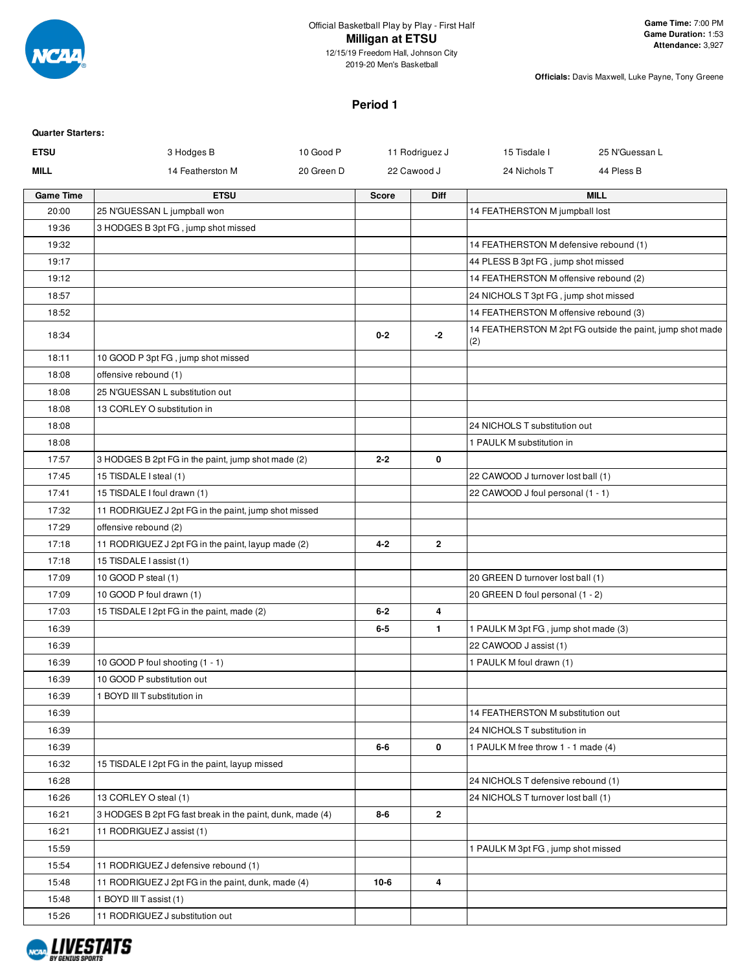

2019-20 Men's Basketball

**Officials:** Davis Maxwell, Luke Payne, Tony Greene

### **Period 1**

| <b>Quarter Starters:</b> |                                                           |            |                  |                   |                                                                |                                                           |
|--------------------------|-----------------------------------------------------------|------------|------------------|-------------------|----------------------------------------------------------------|-----------------------------------------------------------|
| <b>ETSU</b>              | 3 Hodges B                                                | 10 Good P  |                  | 11 Rodriguez J    | 15 Tisdale I                                                   | 25 N'Guessan L                                            |
| <b>MILL</b>              | 14 Featherston M                                          | 20 Green D |                  | 22 Cawood J       | 24 Nichols T                                                   | 44 Pless B                                                |
| <b>Game Time</b>         | <b>ETSU</b>                                               |            | <b>Score</b>     | <b>Diff</b>       |                                                                | <b>MILL</b>                                               |
| 20:00                    | 25 N'GUESSAN L jumpball won                               |            |                  |                   | 14 FEATHERSTON M jumpball lost                                 |                                                           |
| 19:36                    | 3 HODGES B 3pt FG, jump shot missed                       |            |                  |                   |                                                                |                                                           |
| 19:32                    |                                                           |            |                  |                   | 14 FEATHERSTON M defensive rebound (1)                         |                                                           |
| 19:17                    |                                                           |            |                  |                   | 44 PLESS B 3pt FG, jump shot missed                            |                                                           |
| 19:12                    |                                                           |            |                  |                   | 14 FEATHERSTON M offensive rebound (2)                         |                                                           |
| 18:57                    |                                                           |            |                  |                   | 24 NICHOLS T 3pt FG, jump shot missed                          |                                                           |
| 18:52                    |                                                           |            |                  |                   | 14 FEATHERSTON M offensive rebound (3)                         |                                                           |
| 18:34                    |                                                           |            | $0 - 2$          | $-2$              | (2)                                                            | 14 FEATHERSTON M 2pt FG outside the paint, jump shot made |
| 18:11                    | 10 GOOD P 3pt FG, jump shot missed                        |            |                  |                   |                                                                |                                                           |
| 18:08                    | offensive rebound (1)                                     |            |                  |                   |                                                                |                                                           |
| 18:08                    | 25 N'GUESSAN L substitution out                           |            |                  |                   |                                                                |                                                           |
| 18:08                    | 13 CORLEY O substitution in                               |            |                  |                   |                                                                |                                                           |
| 18:08                    |                                                           |            |                  |                   | 24 NICHOLS T substitution out                                  |                                                           |
| 18:08                    |                                                           |            |                  |                   | 1 PAULK M substitution in                                      |                                                           |
| 17:57                    | 3 HODGES B 2pt FG in the paint, jump shot made (2)        |            | $2 - 2$          | 0                 |                                                                |                                                           |
| 17:45                    | 15 TISDALE I steal (1)                                    |            |                  |                   | 22 CAWOOD J turnover lost ball (1)                             |                                                           |
| 17:41                    | 15 TISDALE I foul drawn (1)                               |            |                  |                   | 22 CAWOOD J foul personal (1 - 1)                              |                                                           |
| 17:32                    | 11 RODRIGUEZ J 2pt FG in the paint, jump shot missed      |            |                  |                   |                                                                |                                                           |
| 17:29                    | offensive rebound (2)                                     |            |                  |                   |                                                                |                                                           |
| 17:18                    | 11 RODRIGUEZ J 2pt FG in the paint, layup made (2)        |            | $4 - 2$          | $\overline{2}$    |                                                                |                                                           |
| 17:18                    | 15 TISDALE I assist (1)                                   |            |                  |                   |                                                                |                                                           |
| 17:09                    | 10 GOOD P steal (1)                                       |            |                  |                   | 20 GREEN D turnover lost ball (1)                              |                                                           |
| 17:09                    | 10 GOOD P foul drawn (1)                                  |            |                  |                   | 20 GREEN D foul personal (1 - 2)                               |                                                           |
| 17:03<br>16:39           | 15 TISDALE I 2pt FG in the paint, made (2)                |            | $6 - 2$<br>$6-5$ | 4<br>$\mathbf{1}$ |                                                                |                                                           |
| 16:39                    |                                                           |            |                  |                   | 1 PAULK M 3pt FG, jump shot made (3)<br>22 CAWOOD J assist (1) |                                                           |
| 16:39                    | 10 GOOD P foul shooting (1 - 1)                           |            |                  |                   | 1 PAULK M foul drawn (1)                                       |                                                           |
| 16:39                    | 10 GOOD P substitution out                                |            |                  |                   |                                                                |                                                           |
| 16:39                    | 1 BOYD III T substitution in                              |            |                  |                   |                                                                |                                                           |
| 16:39                    |                                                           |            |                  |                   | 14 FEATHERSTON M substitution out                              |                                                           |
| 16:39                    |                                                           |            |                  |                   | 24 NICHOLS T substitution in                                   |                                                           |
| 16:39                    |                                                           |            | 6-6              | 0                 | 1 PAULK M free throw 1 - 1 made (4)                            |                                                           |
| 16:32                    | 15 TISDALE I 2pt FG in the paint, layup missed            |            |                  |                   |                                                                |                                                           |
| 16:28                    |                                                           |            |                  |                   | 24 NICHOLS T defensive rebound (1)                             |                                                           |
| 16:26                    | 13 CORLEY O steal (1)                                     |            |                  |                   | 24 NICHOLS T turnover lost ball (1)                            |                                                           |
| 16:21                    | 3 HODGES B 2pt FG fast break in the paint, dunk, made (4) |            | $8-6$            | $\mathbf{2}$      |                                                                |                                                           |
| 16:21                    | 11 RODRIGUEZ J assist (1)                                 |            |                  |                   |                                                                |                                                           |
| 15:59                    |                                                           |            |                  |                   | 1 PAULK M 3pt FG, jump shot missed                             |                                                           |
| 15:54                    | 11 RODRIGUEZ J defensive rebound (1)                      |            |                  |                   |                                                                |                                                           |
| 15:48                    | 11 RODRIGUEZ J 2pt FG in the paint, dunk, made (4)        |            | $10-6$           | 4                 |                                                                |                                                           |
| 15:48                    | 1 BOYD III T assist (1)                                   |            |                  |                   |                                                                |                                                           |
| 15:26                    | 11 RODRIGUEZ J substitution out                           |            |                  |                   |                                                                |                                                           |
|                          |                                                           |            |                  |                   |                                                                |                                                           |

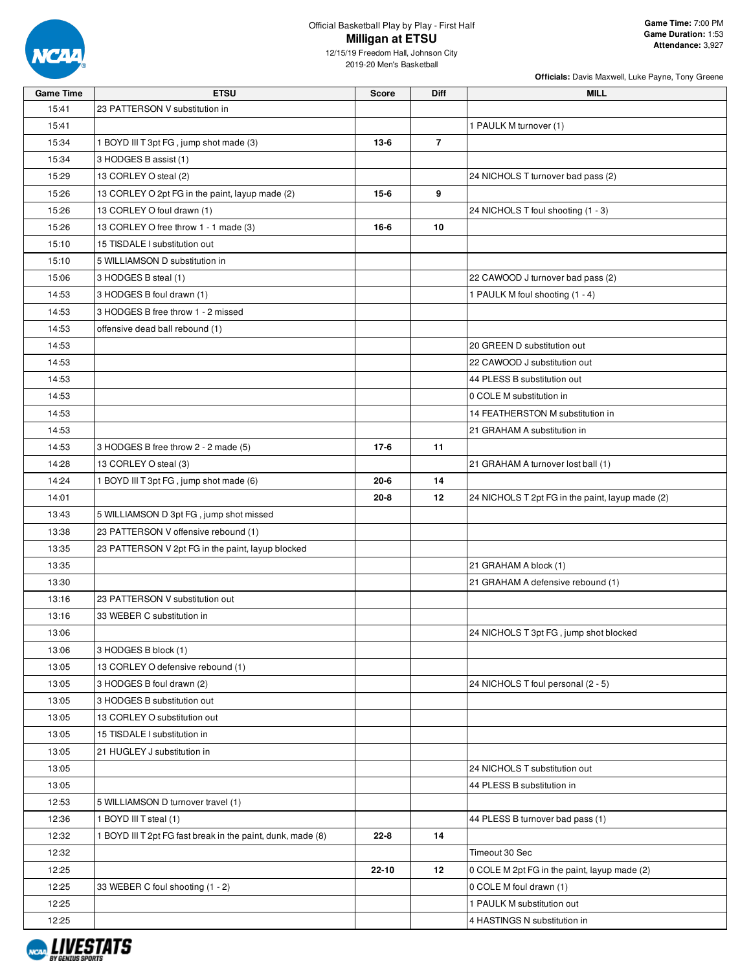

# Official Basketball Play by Play - First Half **Milligan at ETSU**

12/15/19 Freedom Hall, Johnson City 2019-20 Men's Basketball

| <b>Game Time</b> | <b>ETSU</b>                                                 | <b>Score</b> | Diff           | <b>MILL</b>                                      |
|------------------|-------------------------------------------------------------|--------------|----------------|--------------------------------------------------|
| 15:41            | 23 PATTERSON V substitution in                              |              |                |                                                  |
| 15:41            |                                                             |              |                | 1 PAULK M turnover (1)                           |
| 15:34            | 1 BOYD III T 3pt FG, jump shot made (3)                     | $13-6$       | $\overline{7}$ |                                                  |
| 15:34            | 3 HODGES B assist (1)                                       |              |                |                                                  |
| 15:29            | 13 CORLEY O steal (2)                                       |              |                | 24 NICHOLS T turnover bad pass (2)               |
| 15:26            | 13 CORLEY O 2pt FG in the paint, layup made (2)             | $15-6$       | 9              |                                                  |
| 15:26            | 13 CORLEY O foul drawn (1)                                  |              |                | 24 NICHOLS T foul shooting (1 - 3)               |
| 15:26            | 13 CORLEY O free throw 1 - 1 made (3)                       | 16-6         | 10             |                                                  |
| 15:10            | 15 TISDALE I substitution out                               |              |                |                                                  |
| 15:10            | 5 WILLIAMSON D substitution in                              |              |                |                                                  |
| 15:06            | 3 HODGES B steal (1)                                        |              |                | 22 CAWOOD J turnover bad pass (2)                |
| 14:53            | 3 HODGES B foul drawn (1)                                   |              |                | 1 PAULK M foul shooting (1 - 4)                  |
| 14:53            | 3 HODGES B free throw 1 - 2 missed                          |              |                |                                                  |
| 14:53            |                                                             |              |                |                                                  |
|                  | offensive dead ball rebound (1)                             |              |                |                                                  |
| 14:53            |                                                             |              |                | 20 GREEN D substitution out                      |
| 14:53            |                                                             |              |                | 22 CAWOOD J substitution out                     |
| 14:53            |                                                             |              |                | 44 PLESS B substitution out                      |
| 14:53            |                                                             |              |                | 0 COLE M substitution in                         |
| 14:53            |                                                             |              |                | 14 FEATHERSTON M substitution in                 |
| 14:53            |                                                             |              |                | 21 GRAHAM A substitution in                      |
| 14:53            | 3 HODGES B free throw 2 - 2 made (5)                        | $17-6$       | 11             |                                                  |
| 14:28            | 13 CORLEY O steal (3)                                       |              |                | 21 GRAHAM A turnover lost ball (1)               |
| 14:24            | 1 BOYD III T 3pt FG, jump shot made (6)                     | $20 - 6$     | 14             |                                                  |
| 14:01            |                                                             | $20 - 8$     | 12             | 24 NICHOLS T 2pt FG in the paint, layup made (2) |
| 13:43            | 5 WILLIAMSON D 3pt FG, jump shot missed                     |              |                |                                                  |
| 13:38            | 23 PATTERSON V offensive rebound (1)                        |              |                |                                                  |
| 13:35            | 23 PATTERSON V 2pt FG in the paint, layup blocked           |              |                |                                                  |
| 13:35            |                                                             |              |                | 21 GRAHAM A block (1)                            |
| 13:30            |                                                             |              |                | 21 GRAHAM A defensive rebound (1)                |
| 13:16            | 23 PATTERSON V substitution out                             |              |                |                                                  |
| 13:16            | 33 WEBER C substitution in                                  |              |                |                                                  |
| 13:06            |                                                             |              |                | 24 NICHOLS T 3pt FG, jump shot blocked           |
| 13:06            | 3 HODGES B block (1)                                        |              |                |                                                  |
| 13:05            | 13 CORLEY O defensive rebound (1)                           |              |                |                                                  |
| 13:05            | 3 HODGES B foul drawn (2)                                   |              |                | 24 NICHOLS T foul personal (2 - 5)               |
| 13:05            | 3 HODGES B substitution out                                 |              |                |                                                  |
| 13:05            | 13 CORLEY O substitution out                                |              |                |                                                  |
| 13:05            | 15 TISDALE I substitution in                                |              |                |                                                  |
| 13:05            | 21 HUGLEY J substitution in                                 |              |                |                                                  |
| 13:05            |                                                             |              |                | 24 NICHOLS T substitution out                    |
| 13:05            |                                                             |              |                | 44 PLESS B substitution in                       |
| 12:53            | 5 WILLIAMSON D turnover travel (1)                          |              |                |                                                  |
| 12:36            | 1 BOYD III T steal (1)                                      |              |                | 44 PLESS B turnover bad pass (1)                 |
| 12:32            | 1 BOYD III T 2pt FG fast break in the paint, dunk, made (8) | $22 - 8$     | 14             |                                                  |
|                  |                                                             |              |                |                                                  |
| 12:32            |                                                             |              |                | Timeout 30 Sec                                   |
| 12:25            |                                                             | 22-10        | 12             | 0 COLE M 2pt FG in the paint, layup made (2)     |
| 12:25            | 33 WEBER C foul shooting (1 - 2)                            |              |                | 0 COLE M foul drawn (1)                          |
| 12:25            |                                                             |              |                | 1 PAULK M substitution out                       |
| 12:25            |                                                             |              |                | 4 HASTINGS N substitution in                     |

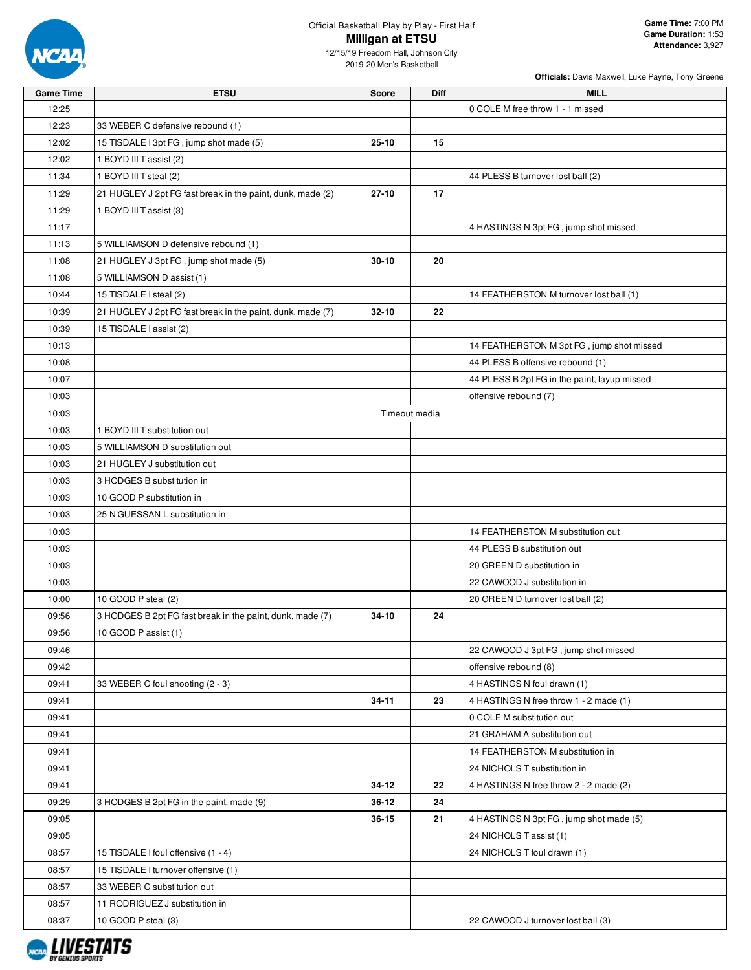

# Official Basketball Play by Play - First Half **Milligan at ETSU**

12/15/19 Freedom Hall, Johnson City 2019-20 Men's Basketball

| <b>Game Time</b> | <b>ETSU</b>                                                | <b>Score</b> | <b>Diff</b>   | <b>MILL</b>                                  |
|------------------|------------------------------------------------------------|--------------|---------------|----------------------------------------------|
| 12:25            |                                                            |              |               | 0 COLE M free throw 1 - 1 missed             |
| 12:23            | 33 WEBER C defensive rebound (1)                           |              |               |                                              |
| 12:02            | 15 TISDALE I 3pt FG, jump shot made (5)                    | 25-10        | 15            |                                              |
| 12:02            | 1 BOYD III T assist (2)                                    |              |               |                                              |
| 11:34            | 1 BOYD III T steal (2)                                     |              |               | 44 PLESS B turnover lost ball (2)            |
| 11:29            | 21 HUGLEY J 2pt FG fast break in the paint, dunk, made (2) | $27 - 10$    | 17            |                                              |
| 11:29            | 1 BOYD III T assist (3)                                    |              |               |                                              |
| 11:17            |                                                            |              |               | 4 HASTINGS N 3pt FG, jump shot missed        |
| 11:13            | 5 WILLIAMSON D defensive rebound (1)                       |              |               |                                              |
| 11:08            | 21 HUGLEY J 3pt FG, jump shot made (5)                     | $30 - 10$    | 20            |                                              |
| 11:08            | 5 WILLIAMSON D assist (1)                                  |              |               |                                              |
| 10:44            | 15 TISDALE I steal (2)                                     |              |               | 14 FEATHERSTON M turnover lost ball (1)      |
| 10:39            | 21 HUGLEY J 2pt FG fast break in the paint, dunk, made (7) | 32-10        | 22            |                                              |
| 10:39            | 15 TISDALE I assist (2)                                    |              |               |                                              |
| 10:13            |                                                            |              |               | 14 FEATHERSTON M 3pt FG, jump shot missed    |
| 10:08            |                                                            |              |               | 44 PLESS B offensive rebound (1)             |
| 10:07            |                                                            |              |               | 44 PLESS B 2pt FG in the paint, layup missed |
| 10:03            |                                                            |              |               | offensive rebound (7)                        |
| 10:03            |                                                            |              | Timeout media |                                              |
| 10:03            | 1 BOYD III T substitution out                              |              |               |                                              |
| 10:03            | 5 WILLIAMSON D substitution out                            |              |               |                                              |
| 10:03            | 21 HUGLEY J substitution out                               |              |               |                                              |
| 10:03            | 3 HODGES B substitution in                                 |              |               |                                              |
| 10:03            | 10 GOOD P substitution in                                  |              |               |                                              |
| 10:03            | 25 N'GUESSAN L substitution in                             |              |               |                                              |
| 10:03            |                                                            |              |               | 14 FEATHERSTON M substitution out            |
| 10:03            |                                                            |              |               | 44 PLESS B substitution out                  |
| 10:03            |                                                            |              |               | 20 GREEN D substitution in                   |
| 10:03            |                                                            |              |               | 22 CAWOOD J substitution in                  |
| 10:00            | 10 GOOD P steal (2)                                        |              |               | 20 GREEN D turnover lost ball (2)            |
| 09:56            | 3 HODGES B 2pt FG fast break in the paint, dunk, made (7)  | 34-10        | 24            |                                              |
| 09:56            | 10 GOOD P assist (1)                                       |              |               |                                              |
| 09:46            |                                                            |              |               | 22 CAWOOD J 3pt FG, jump shot missed         |
| 09:42            |                                                            |              |               | offensive rebound (8)                        |
| 09:41            | 33 WEBER C foul shooting (2 - 3)                           |              |               | 4 HASTINGS N foul drawn (1)                  |
| 09:41            |                                                            | 34-11        | 23            | 4 HASTINGS N free throw 1 - 2 made (1)       |
| 09:41            |                                                            |              |               | 0 COLE M substitution out                    |
| 09:41            |                                                            |              |               | 21 GRAHAM A substitution out                 |
| 09:41            |                                                            |              |               | 14 FEATHERSTON M substitution in             |
| 09:41            |                                                            |              |               | 24 NICHOLS T substitution in                 |
| 09:41            |                                                            | 34-12        | 22            | 4 HASTINGS N free throw 2 - 2 made (2)       |
| 09:29            | 3 HODGES B 2pt FG in the paint, made (9)                   | 36-12        | 24            |                                              |
| 09:05            |                                                            | 36-15        | 21            | 4 HASTINGS N 3pt FG, jump shot made (5)      |
| 09:05            |                                                            |              |               | 24 NICHOLS T assist (1)                      |
| 08:57            | 15 TISDALE I foul offensive (1 - 4)                        |              |               | 24 NICHOLS T foul drawn (1)                  |
| 08:57            | 15 TISDALE I turnover offensive (1)                        |              |               |                                              |
| 08:57            | 33 WEBER C substitution out                                |              |               |                                              |
| 08:57            | 11 RODRIGUEZ J substitution in                             |              |               |                                              |
| 08:37            | 10 GOOD P steal (3)                                        |              |               | 22 CAWOOD J turnover lost ball (3)           |
|                  |                                                            |              |               |                                              |

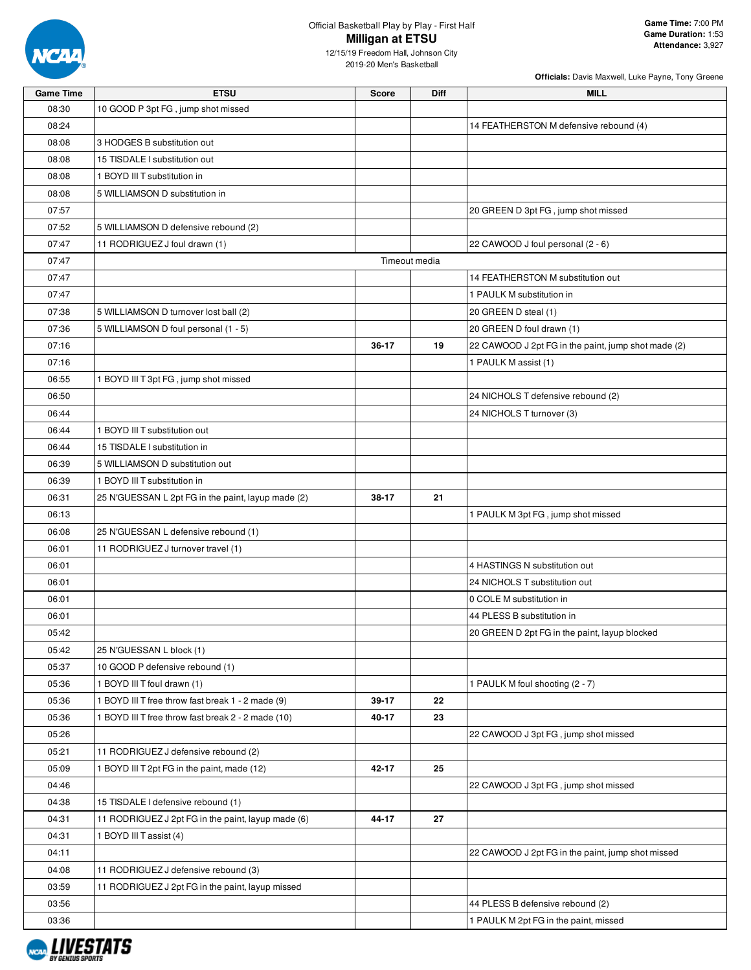

| <b>Game Time</b> | <b>ETSU</b>                                        | <b>Score</b>  | Diff | MILL                                                |
|------------------|----------------------------------------------------|---------------|------|-----------------------------------------------------|
| 08:30            | 10 GOOD P 3pt FG, jump shot missed                 |               |      |                                                     |
| 08:24            |                                                    |               |      | 14 FEATHERSTON M defensive rebound (4)              |
| 08:08            | 3 HODGES B substitution out                        |               |      |                                                     |
| 08:08            | 15 TISDALE I substitution out                      |               |      |                                                     |
| 08:08            | 1 BOYD III T substitution in                       |               |      |                                                     |
| 08:08            | 5 WILLIAMSON D substitution in                     |               |      |                                                     |
| 07:57            |                                                    |               |      | 20 GREEN D 3pt FG, jump shot missed                 |
| 07:52            | 5 WILLIAMSON D defensive rebound (2)               |               |      |                                                     |
| 07:47            | 11 RODRIGUEZ J foul drawn (1)                      |               |      | 22 CAWOOD J foul personal (2 - 6)                   |
| 07:47            |                                                    | Timeout media |      |                                                     |
| 07:47            |                                                    |               |      | 14 FEATHERSTON M substitution out                   |
| 07:47            |                                                    |               |      | 1 PAULK M substitution in                           |
| 07:38            | 5 WILLIAMSON D turnover lost ball (2)              |               |      | 20 GREEN D steal (1)                                |
| 07:36            | 5 WILLIAMSON D foul personal (1 - 5)               |               |      | 20 GREEN D foul drawn (1)                           |
| 07:16            |                                                    | 36-17         | 19   | 22 CAWOOD J 2pt FG in the paint, jump shot made (2) |
| 07:16            |                                                    |               |      | 1 PAULK M assist (1)                                |
| 06:55            | 1 BOYD III T 3pt FG, jump shot missed              |               |      |                                                     |
| 06:50            |                                                    |               |      | 24 NICHOLS T defensive rebound (2)                  |
| 06:44            |                                                    |               |      | 24 NICHOLS T turnover (3)                           |
| 06:44            | 1 BOYD III T substitution out                      |               |      |                                                     |
| 06:44            | 15 TISDALE I substitution in                       |               |      |                                                     |
| 06:39            | 5 WILLIAMSON D substitution out                    |               |      |                                                     |
| 06:39            | 1 BOYD III T substitution in                       |               |      |                                                     |
| 06:31            | 25 N'GUESSAN L 2pt FG in the paint, layup made (2) | 38-17         | 21   |                                                     |
| 06:13            |                                                    |               |      | 1 PAULK M 3pt FG, jump shot missed                  |
| 06:08            | 25 N'GUESSAN L defensive rebound (1)               |               |      |                                                     |
| 06:01            | 11 RODRIGUEZ J turnover travel (1)                 |               |      |                                                     |
| 06:01            |                                                    |               |      | 4 HASTINGS N substitution out                       |
| 06:01            |                                                    |               |      | 24 NICHOLS T substitution out                       |
| 06:01            |                                                    |               |      | 0 COLE M substitution in                            |
| 06:01            |                                                    |               |      | 44 PLESS B substitution in                          |
| 05:42            |                                                    |               |      | 20 GREEN D 2pt FG in the paint, layup blocked       |
| 05:42            | 25 N'GUESSAN L block (1)                           |               |      |                                                     |
| 05:37            | 10 GOOD P defensive rebound (1)                    |               |      |                                                     |
| 05:36            | 1 BOYD III T foul drawn (1)                        |               |      | 1 PAULK M foul shooting (2 - 7)                     |
| 05:36            | 1 BOYD III T free throw fast break 1 - 2 made (9)  | 39-17         | 22   |                                                     |
| 05:36            | 1 BOYD III T free throw fast break 2 - 2 made (10) | 40-17         | 23   |                                                     |
| 05:26            |                                                    |               |      | 22 CAWOOD J 3pt FG, jump shot missed                |
| 05:21            | 11 RODRIGUEZ J defensive rebound (2)               |               |      |                                                     |
| 05:09            | 1 BOYD III T 2pt FG in the paint, made (12)        | 42-17         | 25   |                                                     |
| 04:46            |                                                    |               |      | 22 CAWOOD J 3pt FG, jump shot missed                |
| 04:38            | 15 TISDALE I defensive rebound (1)                 |               |      |                                                     |
| 04:31            | 11 RODRIGUEZ J 2pt FG in the paint, layup made (6) | 44-17         | 27   |                                                     |
| 04:31            | 1 BOYD III T assist (4)                            |               |      |                                                     |
| 04:11            |                                                    |               |      | 22 CAWOOD J 2pt FG in the paint, jump shot missed   |
| 04:08            | 11 RODRIGUEZ J defensive rebound (3)               |               |      |                                                     |
| 03:59            | 11 RODRIGUEZ J 2pt FG in the paint, layup missed   |               |      |                                                     |
| 03:56            |                                                    |               |      |                                                     |
|                  |                                                    |               |      | 44 PLESS B defensive rebound (2)                    |
| 03:36            |                                                    |               |      | 1 PAULK M 2pt FG in the paint, missed               |

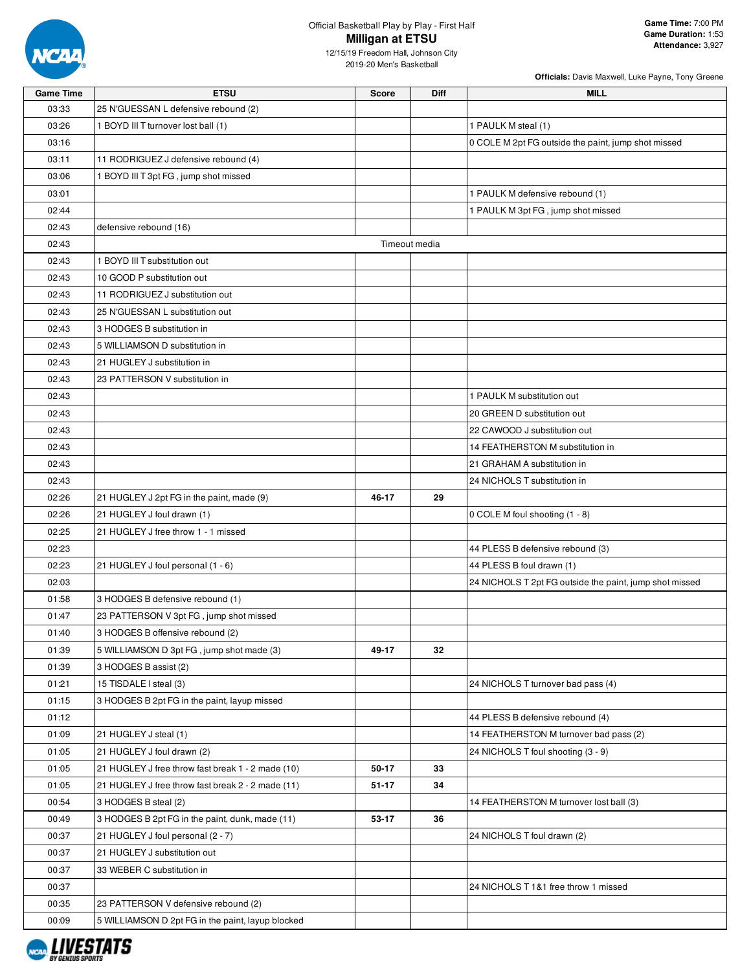

# Official Basketball Play by Play - First Half **Milligan at ETSU**

12/15/19 Freedom Hall, Johnson City 2019-20 Men's Basketball

| <b>Game Time</b> | <b>ETSU</b>                                       | <b>Score</b>  | Diff | <b>MILL</b>                                             |
|------------------|---------------------------------------------------|---------------|------|---------------------------------------------------------|
| 03:33            | 25 N'GUESSAN L defensive rebound (2)              |               |      |                                                         |
| 03:26            | 1 BOYD III T turnover lost ball (1)               |               |      | 1 PAULK M steal (1)                                     |
| 03:16            |                                                   |               |      | 0 COLE M 2pt FG outside the paint, jump shot missed     |
| 03:11            | 11 RODRIGUEZ J defensive rebound (4)              |               |      |                                                         |
| 03:06            | 1 BOYD III T 3pt FG, jump shot missed             |               |      |                                                         |
| 03:01            |                                                   |               |      | 1 PAULK M defensive rebound (1)                         |
| 02:44            |                                                   |               |      | 1 PAULK M 3pt FG, jump shot missed                      |
| 02:43            | defensive rebound (16)                            |               |      |                                                         |
| 02:43            |                                                   | Timeout media |      |                                                         |
| 02:43            | 1 BOYD III T substitution out                     |               |      |                                                         |
| 02:43            | 10 GOOD P substitution out                        |               |      |                                                         |
| 02:43            | 11 RODRIGUEZ J substitution out                   |               |      |                                                         |
| 02:43            | 25 N'GUESSAN L substitution out                   |               |      |                                                         |
| 02:43            | 3 HODGES B substitution in                        |               |      |                                                         |
| 02:43            | 5 WILLIAMSON D substitution in                    |               |      |                                                         |
| 02:43            | 21 HUGLEY J substitution in                       |               |      |                                                         |
| 02:43            | 23 PATTERSON V substitution in                    |               |      |                                                         |
| 02:43            |                                                   |               |      | 1 PAULK M substitution out                              |
| 02:43            |                                                   |               |      | 20 GREEN D substitution out                             |
| 02:43            |                                                   |               |      | 22 CAWOOD J substitution out                            |
| 02:43            |                                                   |               |      | 14 FEATHERSTON M substitution in                        |
| 02:43            |                                                   |               |      | 21 GRAHAM A substitution in                             |
| 02:43            |                                                   |               |      | 24 NICHOLS T substitution in                            |
| 02:26            | 21 HUGLEY J 2pt FG in the paint, made (9)         | 46-17         | 29   |                                                         |
| 02:26            | 21 HUGLEY J foul drawn (1)                        |               |      | 0 COLE M foul shooting (1 - 8)                          |
| 02:25            | 21 HUGLEY J free throw 1 - 1 missed               |               |      |                                                         |
| 02:23            |                                                   |               |      | 44 PLESS B defensive rebound (3)                        |
| 02:23            | 21 HUGLEY J foul personal (1 - 6)                 |               |      | 44 PLESS B foul drawn (1)                               |
| 02:03            |                                                   |               |      | 24 NICHOLS T 2pt FG outside the paint, jump shot missed |
| 01:58            | 3 HODGES B defensive rebound (1)                  |               |      |                                                         |
| 01:47            | 23 PATTERSON V 3pt FG, jump shot missed           |               |      |                                                         |
| 01:40            | 3 HODGES B offensive rebound (2)                  |               |      |                                                         |
| 01:39            | 5 WILLIAMSON D 3pt FG, jump shot made (3)         | 49-17         | 32   |                                                         |
| 01:39            | 3 HODGES B assist (2)                             |               |      |                                                         |
| 01:21            | 15 TISDALE I steal (3)                            |               |      | 24 NICHOLS T turnover bad pass (4)                      |
| 01:15            | 3 HODGES B 2pt FG in the paint, layup missed      |               |      |                                                         |
| 01:12            |                                                   |               |      | 44 PLESS B defensive rebound (4)                        |
| 01:09            | 21 HUGLEY J steal (1)                             |               |      | 14 FEATHERSTON M turnover bad pass (2)                  |
| 01:05            | 21 HUGLEY J foul drawn (2)                        |               |      | 24 NICHOLS T foul shooting (3 - 9)                      |
| 01:05            | 21 HUGLEY J free throw fast break 1 - 2 made (10) | 50-17         | 33   |                                                         |
| 01:05            | 21 HUGLEY J free throw fast break 2 - 2 made (11) | 51-17         | 34   |                                                         |
| 00:54            | 3 HODGES B steal (2)                              |               |      | 14 FEATHERSTON M turnover lost ball (3)                 |
| 00:49            | 3 HODGES B 2pt FG in the paint, dunk, made (11)   | 53-17         | 36   |                                                         |
| 00:37            | 21 HUGLEY J foul personal (2 - 7)                 |               |      | 24 NICHOLS T foul drawn (2)                             |
| 00:37            | 21 HUGLEY J substitution out                      |               |      |                                                         |
| 00:37            | 33 WEBER C substitution in                        |               |      |                                                         |
| 00:37            |                                                   |               |      | 24 NICHOLS T 1&1 free throw 1 missed                    |
| 00:35            | 23 PATTERSON V defensive rebound (2)              |               |      |                                                         |
| 00:09            | 5 WILLIAMSON D 2pt FG in the paint, layup blocked |               |      |                                                         |

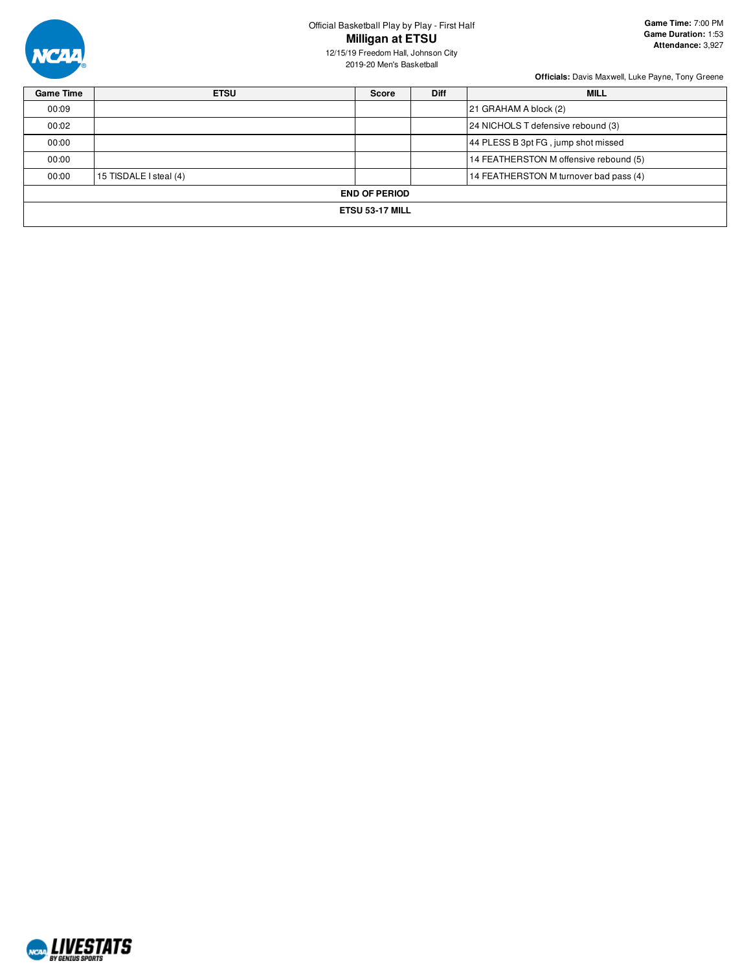

### Official Basketball Play by Play - First Half **Milligan at ETSU**

12/15/19 Freedom Hall, Johnson City 2019-20 Men's Basketball

| <b>ETSU</b>            | <b>Score</b> | <b>Diff</b>          | <b>MILL</b>                            |
|------------------------|--------------|----------------------|----------------------------------------|
|                        |              |                      | 21 GRAHAM A block (2)                  |
|                        |              |                      | 24 NICHOLS T defensive rebound (3)     |
|                        |              |                      | 44 PLESS B 3pt FG, jump shot missed    |
|                        |              |                      | 14 FEATHERSTON M offensive rebound (5) |
| 15 TISDALE I steal (4) |              |                      | 14 FEATHERSTON M turnover bad pass (4) |
|                        |              |                      |                                        |
|                        |              |                      |                                        |
|                        |              | <b>END OF PERIOD</b> | ETSU 53-17 MILL                        |

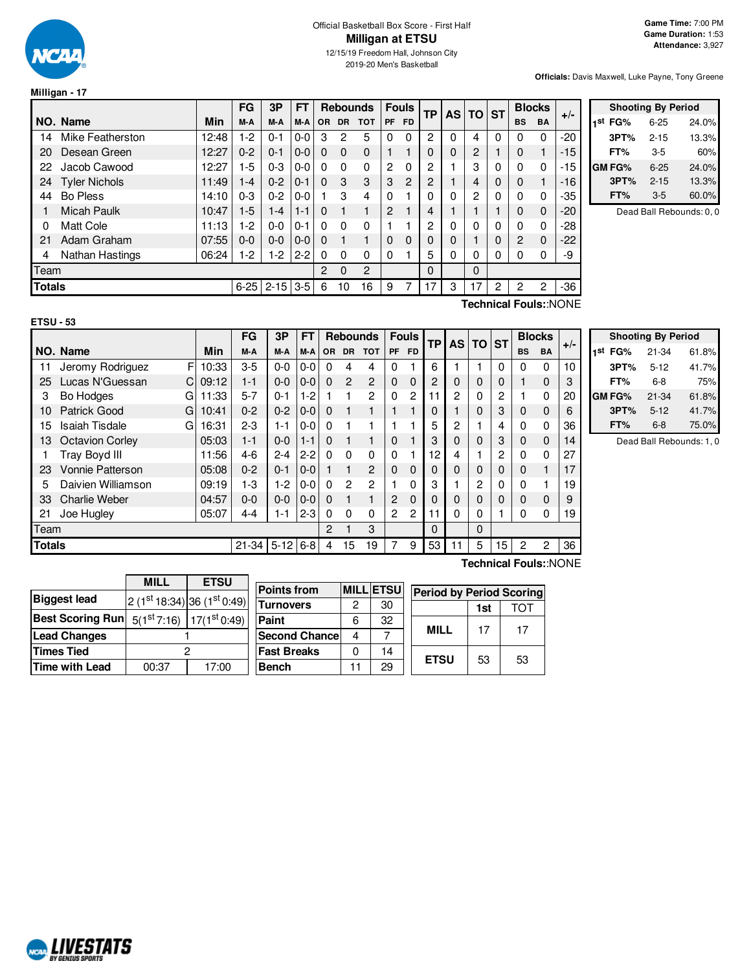

**Milligan - 17**

2019-20 Men's Basketball

**Officials:** Davis Maxwell, Luke Payne, Tony Greene

|               |                        |       | FG       | 3P       | FT      |                |           | <b>Rebounds</b> |                | <b>Fouls</b>   | ТP       | AS TO ST |                |          |                | <b>Blocks</b> | $+/-$ |
|---------------|------------------------|-------|----------|----------|---------|----------------|-----------|-----------------|----------------|----------------|----------|----------|----------------|----------|----------------|---------------|-------|
|               | NO. Name               | Min   | M-A      | M-A      | M-A     | <b>OR</b>      | <b>DR</b> | <b>TOT</b>      | <b>PF</b>      | FD.            |          |          |                |          | <b>BS</b>      | <b>BA</b>     |       |
| 14            | Mike Featherston       | 12:48 | 1-2      | $0 - 1$  | $0-0$   | 3              | 2         | 5               | 0              | 0              | 2        | 0        | 4              | 0        | 0              | $\Omega$      | $-20$ |
| 20            | Desean Green           | 12:27 | $0 - 2$  | $0 - 1$  | $0 - 0$ | $\Omega$       | $\Omega$  | $\Omega$        |                |                | 0        | 0        | 2              |          | $\Omega$       | 1             | $-15$ |
| 22            | Jacob Cawood           | 12:27 | 1-5      | $0 - 3$  | $0 - 0$ | 0              | $\Omega$  | $\Omega$        | 2              | $\Omega$       | 2        |          | 3              | 0        | $\mathbf{0}$   | $\Omega$      | $-15$ |
| 24            | <b>Tyler Nichols</b>   | 11:49 | $1 - 4$  | $0 - 2$  | $0 - 1$ | 0              | 3         | 3               | 3              | $\overline{c}$ | 2        |          | 4              | 0        | $\Omega$       | 1             | $-16$ |
| 44            | <b>Bo Pless</b>        | 14:10 | $0 - 3$  | $0 - 2$  | $0 - 0$ |                | 3         | 4               | $\Omega$       |                | 0        | 0        | $\overline{c}$ | 0        | 0              | $\Omega$      | $-35$ |
|               | <b>Micah Paulk</b>     | 10:47 | 1-5      | 1-4      | $1 - 1$ | $\Omega$       | 1         | 1               | $\overline{2}$ |                | 4        |          |                |          | $\Omega$       | $\mathbf 0$   | $-20$ |
| 0             | <b>Matt Cole</b>       | 11:13 | 1-2      | $0 - 0$  | $0 - 1$ | 0              | $\Omega$  | $\Omega$        |                |                | 2        | 0        | 0              | 0        | $\mathbf{0}$   | $\Omega$      | $-28$ |
| 21            | Adam Graham            | 07:55 | $0 - 0$  | $0 - 0$  | $0 - 0$ | $\Omega$       | 1         |                 | $\Omega$       | $\Omega$       | 0        | 0        |                | $\Omega$ | $\overline{2}$ | $\Omega$      | $-22$ |
| 4             | <b>Nathan Hastings</b> | 06:24 | 1-2      | 1-2      | $2 - 2$ | 0              | $\Omega$  | $\Omega$        | 0              |                | 5        | 0        | 0              | 0        | 0              | $\Omega$      | -9    |
| Team          |                        |       |          |          |         | $\overline{2}$ | $\Omega$  | 2               |                |                | $\Omega$ |          | $\Omega$       |          |                |               |       |
| <b>Totals</b> |                        |       | $6 - 25$ | $2 - 15$ | $3 - 5$ | 6              | 10        | 16              | 9              |                | 17       | 3        | 17             | 2        | 2              | 2             | $-36$ |

| <b>Shooting By Period</b> |          |       |  |  |  |  |  |  |  |  |  |
|---------------------------|----------|-------|--|--|--|--|--|--|--|--|--|
| 1st<br>FG%                | 6-25     | 24.0% |  |  |  |  |  |  |  |  |  |
| 3PT%                      | $2 - 15$ | 13.3% |  |  |  |  |  |  |  |  |  |
| FT%                       | 3-5      | 60%   |  |  |  |  |  |  |  |  |  |
| <b>GM FG%</b>             | $6 - 25$ | 24.0% |  |  |  |  |  |  |  |  |  |
| 3PT%                      | $2 - 15$ | 13.3% |  |  |  |  |  |  |  |  |  |
| FT%                       | $3-5$    | 60.0% |  |  |  |  |  |  |  |  |  |

Dead Ball Rebounds: 0, 0

**Technical Fouls:**:NONE

|               |                            |            | <b>FG</b> | 3P       | <b>FT</b> |           |               | <b>Rebounds</b> |          | <b>Fouls</b> | <b>TP</b> | <b>AS</b>    | <b>TO</b>    | 'ST      |           | <b>Blocks</b> | $+/-$ |
|---------------|----------------------------|------------|-----------|----------|-----------|-----------|---------------|-----------------|----------|--------------|-----------|--------------|--------------|----------|-----------|---------------|-------|
|               | NO. Name                   | <b>Min</b> | M-A       | M-A      | M-A       | <b>OR</b> | <b>DR</b>     | <b>TOT</b>      | PF       | <b>FD</b>    |           |              |              |          | <b>BS</b> | <b>BA</b>     |       |
| 11            | F<br>Jeromy Rodriguez      | 10:33      | $3-5$     | $0-0$    | $0-0$     | $\Omega$  | 4             | 4               | 0        |              | 6         |              |              | $\Omega$ | $\Omega$  | 0             | 10    |
| 25            | Lucas N'Guessan<br>CI.     | 09:12      | $1 - 1$   | $0-0$    | $0 - 0$   | $\Omega$  | $\mathcal{P}$ | $\overline{2}$  | 0        | $\Omega$     | 2         | 0            | 0            | 0        |           | $\Omega$      | 3     |
| 3             | Bo Hodges<br>G             | 11:33      | 5-7       | $0 - 1$  | $1-2$     |           |               | $\overline{2}$  | 0        | 2            | 11        | $\mathbf{2}$ | $\mathbf{0}$ | 2        |           | $\Omega$      | 20    |
| 10            | <b>Patrick Good</b><br>G   | 10:41      | $0 - 2$   | $0 - 2$  | $0 - 0$   | $\Omega$  |               | 1               |          |              | 0         |              | $\Omega$     | 3        | 0         | $\Omega$      | 6     |
| 15            | <b>Isaiah Tisdale</b><br>G | 16:31      | $2-3$     | $1 - 1$  | $0 - 0$   | 0         |               |                 |          |              | 5         | $\mathbf{2}$ |              | 4        | $\Omega$  | $\mathbf{0}$  | 36    |
| 13            | <b>Octavion Corley</b>     | 05:03      | $1 - 1$   | $0 - 0$  | $1 - 1$   | 0         |               | 1               | 0        |              | 3         | 0            | $\Omega$     | 3        | $\Omega$  | $\Omega$      | 14    |
|               | Tray Boyd III              | 11:56      | $4-6$     | $2 - 4$  | $2 - 2$   | 0         | 0             | 0               | 0        |              | 12        | 4            |              | 2        | $\Omega$  | 0             | 27    |
| 23            | Vonnie Patterson           | 05:08      | $0 - 2$   | $0 - 1$  | $0 - 0$   |           |               | 2               | $\Omega$ | $\Omega$     | 0         | 0            | $\Omega$     | 0        | $\Omega$  |               | 17    |
| 5             | Daivien Williamson         | 09:19      | $1-3$     | $1-2$    | $0 - 0$   | 0         | 2             | $\mathfrak{p}$  |          | 0            | 3         |              | 2            | 0        | $\Omega$  |               | 19    |
| 33            | Charlie Weber              | 04:57      | $0 - 0$   | $0 - 0$  | $0 - 0$   | $\Omega$  |               | 1               | 2        | $\Omega$     | 0         | 0            | $\Omega$     | 0        | $\Omega$  | $\Omega$      | 9     |
| 21            | Joe Hugley                 | 05:07      | 4-4       | 1-1      | $2 - 3$   | $\Omega$  | 0             | $\Omega$        | 2        | 2            | 11        | $\Omega$     | 0            |          | $\Omega$  | $\mathbf 0$   | 19    |
| Team          |                            |            |           |          |           | 2         |               | 3               |          |              | 0         |              | $\Omega$     |          |           |               |       |
| <b>Totals</b> |                            |            | $21 - 34$ | $5 - 12$ | $6 - 8$   | 4         | 15            | 19              | 7        | 9            | 53        | 11           | 5            | 15       | 2         | 2             | 36    |

|     | <b>Shooting By Period</b> |           |       |  |  |  |  |  |
|-----|---------------------------|-----------|-------|--|--|--|--|--|
| 1st | FG%                       | $21 - 34$ | 61.8% |  |  |  |  |  |
|     | 3PT%                      | $5 - 12$  | 41.7% |  |  |  |  |  |
|     | FT%                       | 6-8       | 75%   |  |  |  |  |  |
|     | GM FG%                    | $21 - 34$ | 61.8% |  |  |  |  |  |
|     | 3PT%                      | $5 - 12$  | 41.7% |  |  |  |  |  |
|     | FT%                       | $6 - 8$   | 75.0% |  |  |  |  |  |

Dead Ball Rebounds: 1, 0

|                         | <b>MILL</b>                        | <b>ETSU</b>                 |  |  |  |
|-------------------------|------------------------------------|-----------------------------|--|--|--|
| <b>Biggest lead</b>     |                                    | $2(1st 18:34) 36(1st 0:49)$ |  |  |  |
| <b>Best Scoring Run</b> | $5(1^{st}7:16)$ 17( $1^{st}0:49$ ) |                             |  |  |  |
| <b>Lead Changes</b>     |                                    |                             |  |  |  |
| <b>Times Tied</b>       |                                    |                             |  |  |  |
| <b>Time with Lead</b>   | 00:37                              | 17:00                       |  |  |  |

| <b>Points from</b>    |   | <b>MILL ETSU</b> | <b>Period by Period Scoring</b> |     |     |
|-----------------------|---|------------------|---------------------------------|-----|-----|
| <b>Turnovers</b>      | 2 | 30               |                                 | 1st | וחד |
| Paint                 | 6 | 32               |                                 | 17  | 17  |
| <b>Second Chancel</b> |   |                  | MILL                            |     |     |
| <b>Fast Breaks</b>    |   | 14               |                                 |     |     |
| <b>Bench</b>          |   | 29               | <b>ETSU</b>                     | 53  | 53  |

**Technical Fouls:**:NONE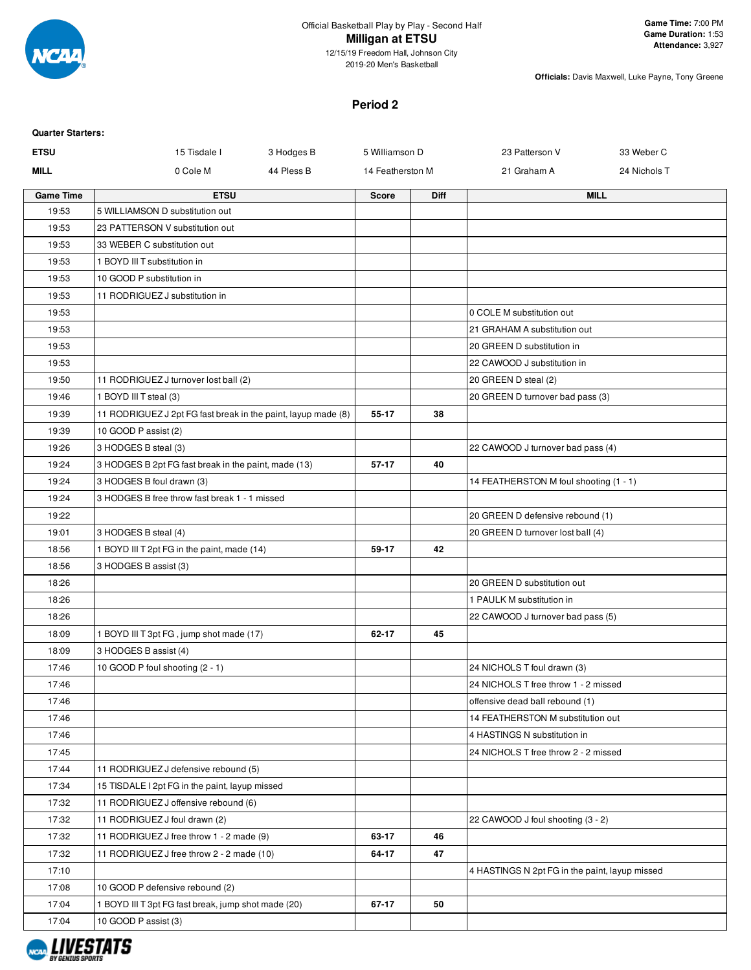

2019-20 Men's Basketball

**Officials:** Davis Maxwell, Luke Payne, Tony Greene

#### **Period 2**

| <b>Quarter Starters:</b> |                                                               |            |                  |             |                                                                      |              |
|--------------------------|---------------------------------------------------------------|------------|------------------|-------------|----------------------------------------------------------------------|--------------|
| <b>ETSU</b>              | 15 Tisdale I                                                  | 3 Hodges B | 5 Williamson D   |             | 23 Patterson V                                                       | 33 Weber C   |
| <b>MILL</b>              | 0 Cole M                                                      | 44 Pless B | 14 Featherston M |             | 21 Graham A                                                          | 24 Nichols T |
| <b>Game Time</b>         | <b>ETSU</b>                                                   |            | <b>Score</b>     | <b>Diff</b> |                                                                      | <b>MILL</b>  |
| 19:53                    | 5 WILLIAMSON D substitution out                               |            |                  |             |                                                                      |              |
| 19:53                    | 23 PATTERSON V substitution out                               |            |                  |             |                                                                      |              |
| 19:53                    | 33 WEBER C substitution out                                   |            |                  |             |                                                                      |              |
| 19:53                    | 1 BOYD III T substitution in                                  |            |                  |             |                                                                      |              |
| 19:53                    | 10 GOOD P substitution in                                     |            |                  |             |                                                                      |              |
| 19:53                    | 11 RODRIGUEZ J substitution in                                |            |                  |             |                                                                      |              |
| 19:53                    |                                                               |            |                  |             | 0 COLE M substitution out                                            |              |
| 19:53                    |                                                               |            |                  |             | 21 GRAHAM A substitution out                                         |              |
| 19:53                    |                                                               |            |                  |             | 20 GREEN D substitution in                                           |              |
| 19:53                    |                                                               |            |                  |             | 22 CAWOOD J substitution in                                          |              |
| 19:50                    | 11 RODRIGUEZ J turnover lost ball (2)                         |            |                  |             | 20 GREEN D steal (2)                                                 |              |
| 19:46                    | 1 BOYD III T steal (3)                                        |            |                  |             | 20 GREEN D turnover bad pass (3)                                     |              |
| 19:39                    | 11 RODRIGUEZ J 2pt FG fast break in the paint, layup made (8) |            | 55-17            | 38          |                                                                      |              |
| 19:39                    | 10 GOOD P assist (2)                                          |            |                  |             |                                                                      |              |
| 19:26                    | 3 HODGES B steal (3)                                          |            |                  |             | 22 CAWOOD J turnover bad pass (4)                                    |              |
| 19:24                    | 3 HODGES B 2pt FG fast break in the paint, made (13)          |            | 57-17            | 40          |                                                                      |              |
| 19:24                    | 3 HODGES B foul drawn (3)                                     |            |                  |             | 14 FEATHERSTON M foul shooting (1 - 1)                               |              |
| 19:24                    | 3 HODGES B free throw fast break 1 - 1 missed                 |            |                  |             |                                                                      |              |
| 19:22                    |                                                               |            |                  |             | 20 GREEN D defensive rebound (1)                                     |              |
| 19:01                    | 3 HODGES B steal (4)                                          |            |                  |             | 20 GREEN D turnover lost ball (4)                                    |              |
| 18:56                    | 1 BOYD III T 2pt FG in the paint, made (14)                   |            | 59-17            | 42          |                                                                      |              |
| 18:56                    | 3 HODGES B assist (3)                                         |            |                  |             |                                                                      |              |
| 18:26                    |                                                               |            |                  |             | 20 GREEN D substitution out                                          |              |
| 18:26                    |                                                               |            |                  |             | 1 PAULK M substitution in                                            |              |
| 18:26                    |                                                               |            |                  |             | 22 CAWOOD J turnover bad pass (5)                                    |              |
| 18:09                    | 1 BOYD III T 3pt FG, jump shot made (17)                      |            | $62 - 17$        | 45          |                                                                      |              |
| 18:09                    | 3 HODGES B assist (4)                                         |            |                  |             |                                                                      |              |
| 17:46                    | 10 GOOD P foul shooting (2 - 1)                               |            |                  |             | 24 NICHOLS T foul drawn (3)                                          |              |
| 17:46                    |                                                               |            |                  |             | 24 NICHOLS T free throw 1 - 2 missed                                 |              |
| 17:46                    |                                                               |            |                  |             | offensive dead ball rebound (1)<br>14 FEATHERSTON M substitution out |              |
| 17:46<br>17:46           |                                                               |            |                  |             | 4 HASTINGS N substitution in                                         |              |
| 17:45                    |                                                               |            |                  |             | 24 NICHOLS T free throw 2 - 2 missed                                 |              |
| 17:44                    | 11 RODRIGUEZ J defensive rebound (5)                          |            |                  |             |                                                                      |              |
| 17:34                    | 15 TISDALE I 2pt FG in the paint, layup missed                |            |                  |             |                                                                      |              |
| 17:32                    | 11 RODRIGUEZ J offensive rebound (6)                          |            |                  |             |                                                                      |              |
| 17:32                    | 11 RODRIGUEZ J foul drawn (2)                                 |            |                  |             | 22 CAWOOD J foul shooting (3 - 2)                                    |              |
| 17:32                    | 11 RODRIGUEZ J free throw 1 - 2 made (9)                      |            | 63-17            | 46          |                                                                      |              |
| 17:32                    | 11 RODRIGUEZ J free throw 2 - 2 made (10)                     |            | 64-17            | 47          |                                                                      |              |
| 17:10                    |                                                               |            |                  |             | 4 HASTINGS N 2pt FG in the paint, layup missed                       |              |
| 17:08                    | 10 GOOD P defensive rebound (2)                               |            |                  |             |                                                                      |              |
| 17:04                    | 1 BOYD III T 3pt FG fast break, jump shot made (20)           |            | 67-17            | 50          |                                                                      |              |
|                          |                                                               |            |                  |             |                                                                      |              |
| 17:04                    | 10 GOOD P assist (3)                                          |            |                  |             |                                                                      |              |

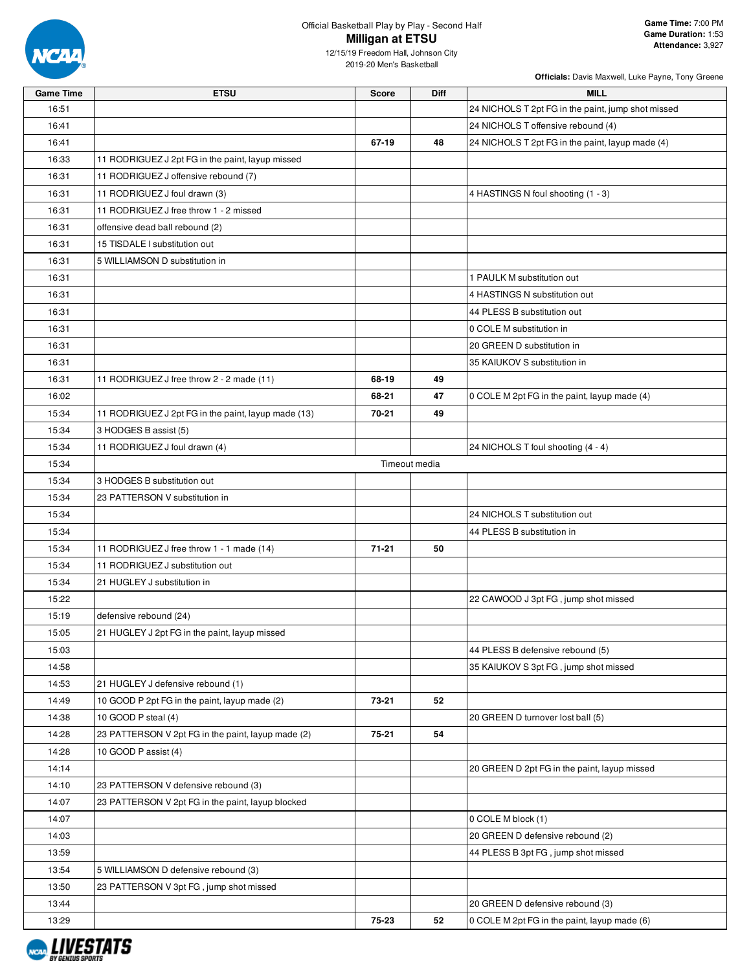

## Official Basketball Play by Play - Second Half **Milligan at ETSU**

| <b>Game Time</b> | <b>ETSU</b>                                         | <b>Score</b>  | Diff | <b>MILL</b>                                        |
|------------------|-----------------------------------------------------|---------------|------|----------------------------------------------------|
| 16:51            |                                                     |               |      | 24 NICHOLS T 2pt FG in the paint, jump shot missed |
| 16:41            |                                                     |               |      | 24 NICHOLS T offensive rebound (4)                 |
| 16:41            |                                                     | 67-19         | 48   | 24 NICHOLS T 2pt FG in the paint, layup made (4)   |
| 16:33            | 11 RODRIGUEZ J 2pt FG in the paint, layup missed    |               |      |                                                    |
| 16:31            | 11 RODRIGUEZ J offensive rebound (7)                |               |      |                                                    |
| 16:31            | 11 RODRIGUEZ J foul drawn (3)                       |               |      | 4 HASTINGS N foul shooting (1 - 3)                 |
| 16:31            | 11 RODRIGUEZ J free throw 1 - 2 missed              |               |      |                                                    |
| 16:31            | offensive dead ball rebound (2)                     |               |      |                                                    |
| 16:31            | 15 TISDALE I substitution out                       |               |      |                                                    |
| 16:31            | 5 WILLIAMSON D substitution in                      |               |      |                                                    |
| 16:31            |                                                     |               |      | 1 PAULK M substitution out                         |
| 16:31            |                                                     |               |      | 4 HASTINGS N substitution out                      |
| 16:31            |                                                     |               |      | 44 PLESS B substitution out                        |
| 16:31            |                                                     |               |      | 0 COLE M substitution in                           |
| 16:31            |                                                     |               |      | 20 GREEN D substitution in                         |
| 16:31            |                                                     |               |      | 35 KAIUKOV S substitution in                       |
| 16:31            | 11 RODRIGUEZ J free throw 2 - 2 made (11)           | 68-19         | 49   |                                                    |
| 16:02            |                                                     | 68-21         | 47   | 0 COLE M 2pt FG in the paint, layup made (4)       |
| 15:34            | 11 RODRIGUEZ J 2pt FG in the paint, layup made (13) | 70-21         | 49   |                                                    |
| 15:34            | 3 HODGES B assist (5)                               |               |      |                                                    |
| 15:34            | 11 RODRIGUEZ J foul drawn (4)                       |               |      | 24 NICHOLS T foul shooting (4 - 4)                 |
| 15:34            |                                                     | Timeout media |      |                                                    |
| 15:34            | 3 HODGES B substitution out                         |               |      |                                                    |
| 15:34            | 23 PATTERSON V substitution in                      |               |      |                                                    |
| 15:34            |                                                     |               |      | 24 NICHOLS T substitution out                      |
| 15:34            |                                                     |               |      | 44 PLESS B substitution in                         |
| 15:34            | 11 RODRIGUEZ J free throw 1 - 1 made (14)           | $71 - 21$     | 50   |                                                    |
| 15:34            | 11 RODRIGUEZ J substitution out                     |               |      |                                                    |
| 15:34            | 21 HUGLEY J substitution in                         |               |      |                                                    |
| 15:22            |                                                     |               |      | 22 CAWOOD J 3pt FG, jump shot missed               |
| 15:19            | defensive rebound (24)                              |               |      |                                                    |
| 15:05            | 21 HUGLEY J 2pt FG in the paint, layup missed       |               |      |                                                    |
| 15:03            |                                                     |               |      | 44 PLESS B defensive rebound (5)                   |
| 14:58            |                                                     |               |      | 35 KAIUKOV S 3pt FG, jump shot missed              |
| 14:53            | 21 HUGLEY J defensive rebound (1)                   |               |      |                                                    |
| 14:49            | 10 GOOD P 2pt FG in the paint, layup made (2)       | 73-21         | 52   |                                                    |
| 14:38            | 10 GOOD P steal (4)                                 |               |      | 20 GREEN D turnover lost ball (5)                  |
| 14:28            | 23 PATTERSON V 2pt FG in the paint, layup made (2)  | 75-21         | 54   |                                                    |
| 14:28            | 10 GOOD P assist (4)                                |               |      |                                                    |
| 14:14            |                                                     |               |      | 20 GREEN D 2pt FG in the paint, layup missed       |
| 14:10            | 23 PATTERSON V defensive rebound (3)                |               |      |                                                    |
| 14:07            | 23 PATTERSON V 2pt FG in the paint, layup blocked   |               |      |                                                    |
| 14:07            |                                                     |               |      | 0 COLE M block (1)                                 |
| 14:03            |                                                     |               |      | 20 GREEN D defensive rebound (2)                   |
| 13:59            |                                                     |               |      | 44 PLESS B 3pt FG, jump shot missed                |
| 13:54            | 5 WILLIAMSON D defensive rebound (3)                |               |      |                                                    |
| 13:50            | 23 PATTERSON V 3pt FG, jump shot missed             |               |      |                                                    |
| 13:44            |                                                     |               |      | 20 GREEN D defensive rebound (3)                   |
| 13:29            |                                                     | 75-23         | 52   | 0 COLE M 2pt FG in the paint, layup made (6)       |

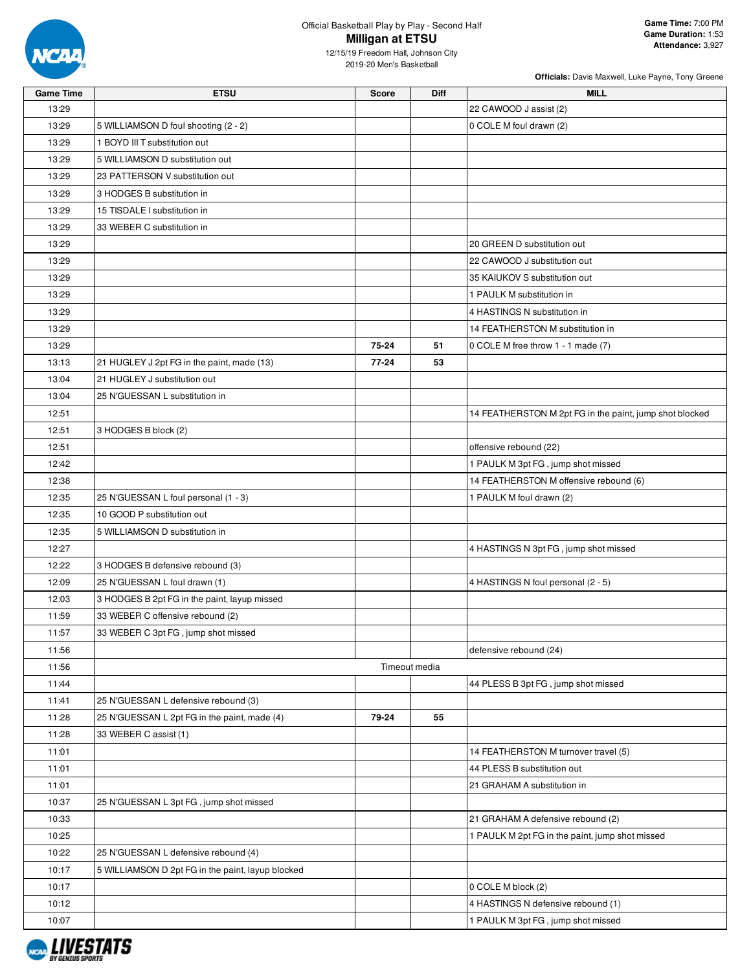

| <b>Game Time</b> | <b>ETSU</b>                                       | <b>Score</b> | <b>Diff</b>   | <b>MILL</b>                                             |
|------------------|---------------------------------------------------|--------------|---------------|---------------------------------------------------------|
| 13:29            |                                                   |              |               | 22 CAWOOD J assist (2)                                  |
| 13:29            | 5 WILLIAMSON D foul shooting (2 - 2)              |              |               | 0 COLE M foul drawn (2)                                 |
| 13:29            | 1 BOYD III T substitution out                     |              |               |                                                         |
| 13:29            | 5 WILLIAMSON D substitution out                   |              |               |                                                         |
| 13:29            | 23 PATTERSON V substitution out                   |              |               |                                                         |
| 13:29            | 3 HODGES B substitution in                        |              |               |                                                         |
| 13:29            | 15 TISDALE I substitution in                      |              |               |                                                         |
| 13:29            | 33 WEBER C substitution in                        |              |               |                                                         |
| 13:29            |                                                   |              |               | 20 GREEN D substitution out                             |
| 13:29            |                                                   |              |               | 22 CAWOOD J substitution out                            |
| 13:29            |                                                   |              |               | 35 KAIUKOV S substitution out                           |
| 13:29            |                                                   |              |               | 1 PAULK M substitution in                               |
| 13:29            |                                                   |              |               | 4 HASTINGS N substitution in                            |
| 13:29            |                                                   |              |               | 14 FEATHERSTON M substitution in                        |
| 13:29            |                                                   | 75-24        | 51            | 0 COLE M free throw 1 - 1 made (7)                      |
| 13:13            | 21 HUGLEY J 2pt FG in the paint, made (13)        | 77-24        | 53            |                                                         |
| 13:04            | 21 HUGLEY J substitution out                      |              |               |                                                         |
| 13:04            | 25 N'GUESSAN L substitution in                    |              |               |                                                         |
| 12:51            |                                                   |              |               | 14 FEATHERSTON M 2pt FG in the paint, jump shot blocked |
| 12:51            | 3 HODGES B block (2)                              |              |               |                                                         |
| 12:51            |                                                   |              |               | offensive rebound (22)                                  |
| 12:42            |                                                   |              |               | 1 PAULK M 3pt FG, jump shot missed                      |
| 12:38            |                                                   |              |               | 14 FEATHERSTON M offensive rebound (6)                  |
| 12:35            | 25 N'GUESSAN L foul personal (1 - 3)              |              |               | 1 PAULK M foul drawn (2)                                |
| 12:35            | 10 GOOD P substitution out                        |              |               |                                                         |
| 12:35            | 5 WILLIAMSON D substitution in                    |              |               |                                                         |
| 12:27            |                                                   |              |               | 4 HASTINGS N 3pt FG, jump shot missed                   |
| 12:22            | 3 HODGES B defensive rebound (3)                  |              |               |                                                         |
| 12:09            | 25 N'GUESSAN L foul drawn (1)                     |              |               | 4 HASTINGS N foul personal (2 - 5)                      |
| 12:03            | 3 HODGES B 2pt FG in the paint, layup missed      |              |               |                                                         |
| 11:59            | 33 WEBER C offensive rebound (2)                  |              |               |                                                         |
| 11:57            | 33 WEBER C 3pt FG, jump shot missed               |              |               |                                                         |
| 11:56            |                                                   |              |               | defensive rebound (24)                                  |
| 11:56            |                                                   |              | Timeout media |                                                         |
| 11:44            |                                                   |              |               | 44 PLESS B 3pt FG, jump shot missed                     |
| 11:41            | 25 N'GUESSAN L defensive rebound (3)              |              |               |                                                         |
| 11:28            | 25 N'GUESSAN L 2pt FG in the paint, made (4)      | 79-24        | 55            |                                                         |
| 11:28            | 33 WEBER C assist (1)                             |              |               |                                                         |
| 11:01            |                                                   |              |               | 14 FEATHERSTON M turnover travel (5)                    |
| 11:01            |                                                   |              |               | 44 PLESS B substitution out                             |
| 11:01            |                                                   |              |               | 21 GRAHAM A substitution in                             |
| 10:37            | 25 N'GUESSAN L 3pt FG, jump shot missed           |              |               |                                                         |
| 10:33            |                                                   |              |               | 21 GRAHAM A defensive rebound (2)                       |
| 10:25            |                                                   |              |               | 1 PAULK M 2pt FG in the paint, jump shot missed         |
| 10:22            | 25 N'GUESSAN L defensive rebound (4)              |              |               |                                                         |
| 10:17            | 5 WILLIAMSON D 2pt FG in the paint, layup blocked |              |               |                                                         |
| 10:17            |                                                   |              |               | 0 COLE M block (2)                                      |
| 10:12            |                                                   |              |               | 4 HASTINGS N defensive rebound (1)                      |
| 10:07            |                                                   |              |               | 1 PAULK M 3pt FG, jump shot missed                      |

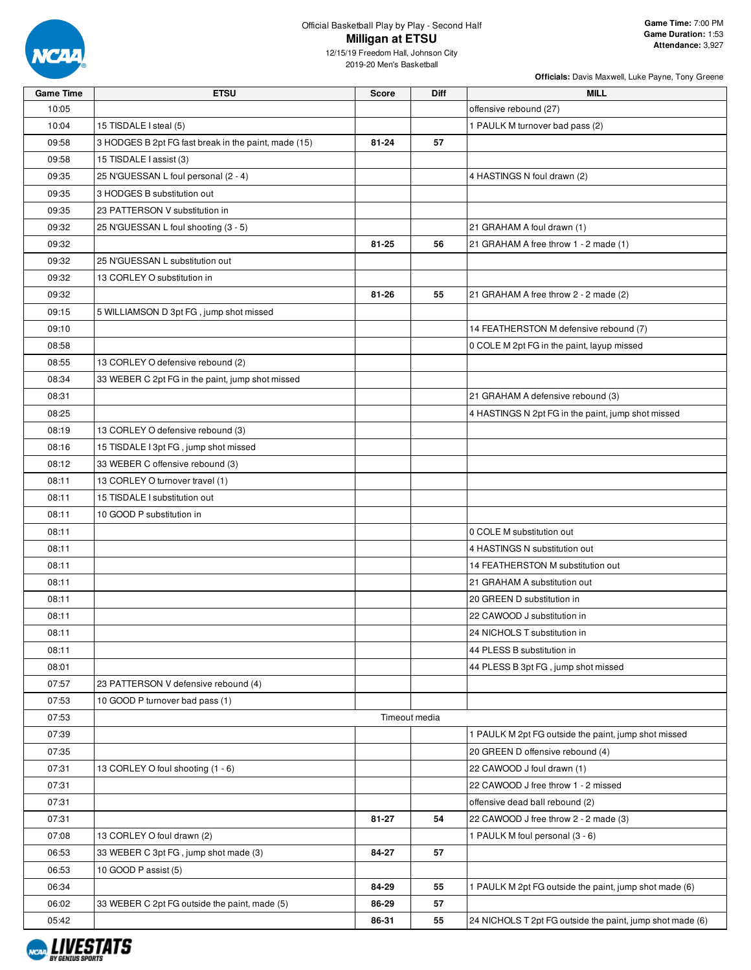

| Officials: Davis Maxwell, Luke Payne, Tony Greene |  |  |  |
|---------------------------------------------------|--|--|--|

| <b>Game Time</b> | <b>ETSU</b>                                          | Score     | Diff          | MILL                                                      |
|------------------|------------------------------------------------------|-----------|---------------|-----------------------------------------------------------|
| 10:05            |                                                      |           |               | offensive rebound (27)                                    |
| 10:04            | 15 TISDALE I steal (5)                               |           |               | 1 PAULK M turnover bad pass (2)                           |
| 09:58            | 3 HODGES B 2pt FG fast break in the paint, made (15) | $81 - 24$ | 57            |                                                           |
| 09:58            | 15 TISDALE I assist (3)                              |           |               |                                                           |
| 09:35            | 25 N'GUESSAN L foul personal (2 - 4)                 |           |               | 4 HASTINGS N foul drawn (2)                               |
| 09:35            | 3 HODGES B substitution out                          |           |               |                                                           |
| 09:35            | 23 PATTERSON V substitution in                       |           |               |                                                           |
| 09:32            | 25 N'GUESSAN L foul shooting (3 - 5)                 |           |               | 21 GRAHAM A foul drawn (1)                                |
| 09:32            |                                                      | 81-25     | 56            | 21 GRAHAM A free throw 1 - 2 made (1)                     |
| 09:32            | 25 N'GUESSAN L substitution out                      |           |               |                                                           |
| 09:32            | 13 CORLEY O substitution in                          |           |               |                                                           |
| 09:32            |                                                      | 81-26     | 55            | 21 GRAHAM A free throw 2 - 2 made (2)                     |
| 09:15            | 5 WILLIAMSON D 3pt FG, jump shot missed              |           |               |                                                           |
| 09:10            |                                                      |           |               | 14 FEATHERSTON M defensive rebound (7)                    |
| 08:58            |                                                      |           |               | 0 COLE M 2pt FG in the paint, layup missed                |
| 08:55            | 13 CORLEY O defensive rebound (2)                    |           |               |                                                           |
| 08:34            | 33 WEBER C 2pt FG in the paint, jump shot missed     |           |               |                                                           |
| 08:31            |                                                      |           |               | 21 GRAHAM A defensive rebound (3)                         |
| 08:25            |                                                      |           |               | 4 HASTINGS N 2pt FG in the paint, jump shot missed        |
| 08:19            | 13 CORLEY O defensive rebound (3)                    |           |               |                                                           |
| 08:16            | 15 TISDALE I 3pt FG, jump shot missed                |           |               |                                                           |
| 08:12            | 33 WEBER C offensive rebound (3)                     |           |               |                                                           |
| 08:11            | 13 CORLEY O turnover travel (1)                      |           |               |                                                           |
| 08:11            | 15 TISDALE I substitution out                        |           |               |                                                           |
| 08:11            | 10 GOOD P substitution in                            |           |               |                                                           |
| 08:11            |                                                      |           |               | 0 COLE M substitution out                                 |
| 08:11            |                                                      |           |               | 4 HASTINGS N substitution out                             |
| 08:11            |                                                      |           |               | 14 FEATHERSTON M substitution out                         |
| 08:11            |                                                      |           |               | 21 GRAHAM A substitution out                              |
| 08:11            |                                                      |           |               | 20 GREEN D substitution in                                |
| 08:11            |                                                      |           |               | 22 CAWOOD J substitution in                               |
| 08:11            |                                                      |           |               | 24 NICHOLS T substitution in                              |
| 08:11            |                                                      |           |               | 44 PLESS B substitution in                                |
| 08:01            |                                                      |           |               | 44 PLESS B 3pt FG, jump shot missed                       |
| 07:57            | 23 PATTERSON V defensive rebound (4)                 |           |               |                                                           |
| 07:53            | 10 GOOD P turnover bad pass (1)                      |           |               |                                                           |
| 07:53            |                                                      |           | Timeout media |                                                           |
| 07:39            |                                                      |           |               | 1 PAULK M 2pt FG outside the paint, jump shot missed      |
| 07:35            |                                                      |           |               | 20 GREEN D offensive rebound (4)                          |
| 07:31            | 13 CORLEY O foul shooting (1 - 6)                    |           |               | 22 CAWOOD J foul drawn (1)                                |
| 07:31            |                                                      |           |               | 22 CAWOOD J free throw 1 - 2 missed                       |
| 07:31            |                                                      |           |               | offensive dead ball rebound (2)                           |
| 07:31            |                                                      | 81-27     | 54            | 22 CAWOOD J free throw 2 - 2 made (3)                     |
| 07:08            | 13 CORLEY O foul drawn (2)                           |           |               | 1 PAULK M foul personal (3 - 6)                           |
| 06:53            | 33 WEBER C 3pt FG, jump shot made (3)                | 84-27     | 57            |                                                           |
| 06:53            | 10 GOOD P assist (5)                                 |           |               |                                                           |
| 06:34            |                                                      | 84-29     | 55            | 1 PAULK M 2pt FG outside the paint, jump shot made (6)    |
| 06:02            | 33 WEBER C 2pt FG outside the paint, made (5)        | 86-29     | 57            |                                                           |
| 05:42            |                                                      | 86-31     | 55            | 24 NICHOLS T 2pt FG outside the paint, jump shot made (6) |

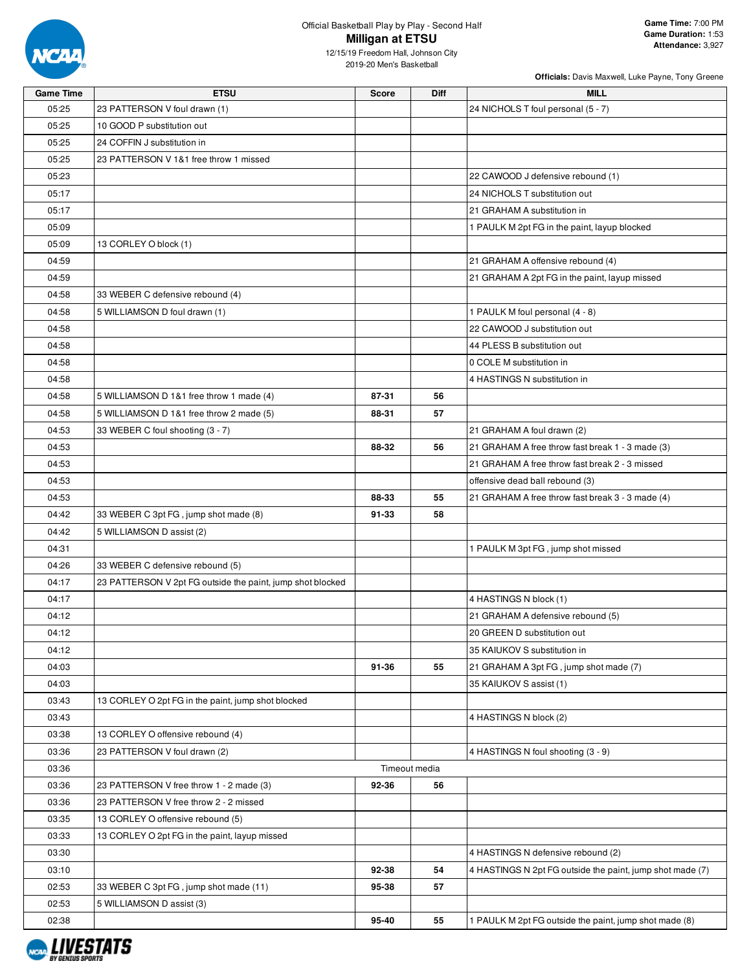

| <b>Game Time</b> | <b>ETSU</b>                                                | <b>Score</b> | Diff          | <b>MILL</b>                                               |
|------------------|------------------------------------------------------------|--------------|---------------|-----------------------------------------------------------|
| 05:25            | 23 PATTERSON V foul drawn (1)                              |              |               | 24 NICHOLS T foul personal (5 - 7)                        |
| 05:25            | 10 GOOD P substitution out                                 |              |               |                                                           |
| 05:25            | 24 COFFIN J substitution in                                |              |               |                                                           |
| 05:25            | 23 PATTERSON V 1&1 free throw 1 missed                     |              |               |                                                           |
| 05:23            |                                                            |              |               | 22 CAWOOD J defensive rebound (1)                         |
| 05:17            |                                                            |              |               | 24 NICHOLS T substitution out                             |
| 05:17            |                                                            |              |               | 21 GRAHAM A substitution in                               |
| 05:09            |                                                            |              |               | 1 PAULK M 2pt FG in the paint, layup blocked              |
| 05:09            | 13 CORLEY O block (1)                                      |              |               |                                                           |
| 04:59            |                                                            |              |               | 21 GRAHAM A offensive rebound (4)                         |
| 04:59            |                                                            |              |               | 21 GRAHAM A 2pt FG in the paint, layup missed             |
| 04:58            | 33 WEBER C defensive rebound (4)                           |              |               |                                                           |
| 04:58            | 5 WILLIAMSON D foul drawn (1)                              |              |               | 1 PAULK M foul personal (4 - 8)                           |
| 04:58            |                                                            |              |               | 22 CAWOOD J substitution out                              |
| 04:58            |                                                            |              |               | 44 PLESS B substitution out                               |
| 04:58            |                                                            |              |               | 0 COLE M substitution in                                  |
| 04:58            |                                                            |              |               | 4 HASTINGS N substitution in                              |
| 04:58            | 5 WILLIAMSON D 1&1 free throw 1 made (4)                   | 87-31        | 56            |                                                           |
| 04:58            | 5 WILLIAMSON D 1&1 free throw 2 made (5)                   | 88-31        | 57            |                                                           |
| 04:53            | 33 WEBER C foul shooting (3 - 7)                           |              |               | 21 GRAHAM A foul drawn (2)                                |
| 04:53            |                                                            | 88-32        | 56            | 21 GRAHAM A free throw fast break 1 - 3 made (3)          |
| 04:53            |                                                            |              |               | 21 GRAHAM A free throw fast break 2 - 3 missed            |
| 04:53            |                                                            |              |               | offensive dead ball rebound (3)                           |
| 04:53            |                                                            | 88-33        | 55            | 21 GRAHAM A free throw fast break 3 - 3 made (4)          |
| 04:42            | 33 WEBER C 3pt FG, jump shot made (8)                      | 91-33        | 58            |                                                           |
|                  |                                                            |              |               |                                                           |
| 04:42<br>04:31   | 5 WILLIAMSON D assist (2)                                  |              |               |                                                           |
|                  |                                                            |              |               | 1 PAULK M 3pt FG, jump shot missed                        |
| 04:26            | 33 WEBER C defensive rebound (5)                           |              |               |                                                           |
| 04:17            | 23 PATTERSON V 2pt FG outside the paint, jump shot blocked |              |               |                                                           |
| 04:17            |                                                            |              |               | 4 HASTINGS N block (1)                                    |
| 04:12            |                                                            |              |               | 21 GRAHAM A defensive rebound (5)                         |
| 04:12            |                                                            |              |               | 20 GREEN D substitution out                               |
| 04:12            |                                                            |              |               | 35 KAIUKOV S substitution in                              |
| 04:03            |                                                            | 91-36        | 55            | 21 GRAHAM A 3pt FG, jump shot made (7)                    |
| 04:03            |                                                            |              |               | 35 KAIUKOV S assist (1)                                   |
| 03:43            | 13 CORLEY O 2pt FG in the paint, jump shot blocked         |              |               |                                                           |
| 03:43            |                                                            |              |               | 4 HASTINGS N block (2)                                    |
| 03:38            | 13 CORLEY O offensive rebound (4)                          |              |               |                                                           |
| 03:36            | 23 PATTERSON V foul drawn (2)                              |              |               | 4 HASTINGS N foul shooting (3 - 9)                        |
| 03:36            |                                                            |              | Timeout media |                                                           |
| 03:36            | 23 PATTERSON V free throw 1 - 2 made (3)                   | 92-36        | 56            |                                                           |
| 03:36            | 23 PATTERSON V free throw 2 - 2 missed                     |              |               |                                                           |
| 03:35            | 13 CORLEY O offensive rebound (5)                          |              |               |                                                           |
| 03:33            | 13 CORLEY O 2pt FG in the paint, layup missed              |              |               |                                                           |
| 03:30            |                                                            |              |               | 4 HASTINGS N defensive rebound (2)                        |
| 03:10            |                                                            | 92-38        | 54            | 4 HASTINGS N 2pt FG outside the paint, jump shot made (7) |
| 02:53            | 33 WEBER C 3pt FG, jump shot made (11)                     | 95-38        | 57            |                                                           |
| 02:53            | 5 WILLIAMSON D assist (3)                                  |              |               |                                                           |
| 02:38            |                                                            | 95-40        | 55            | 1 PAULK M 2pt FG outside the paint, jump shot made (8)    |

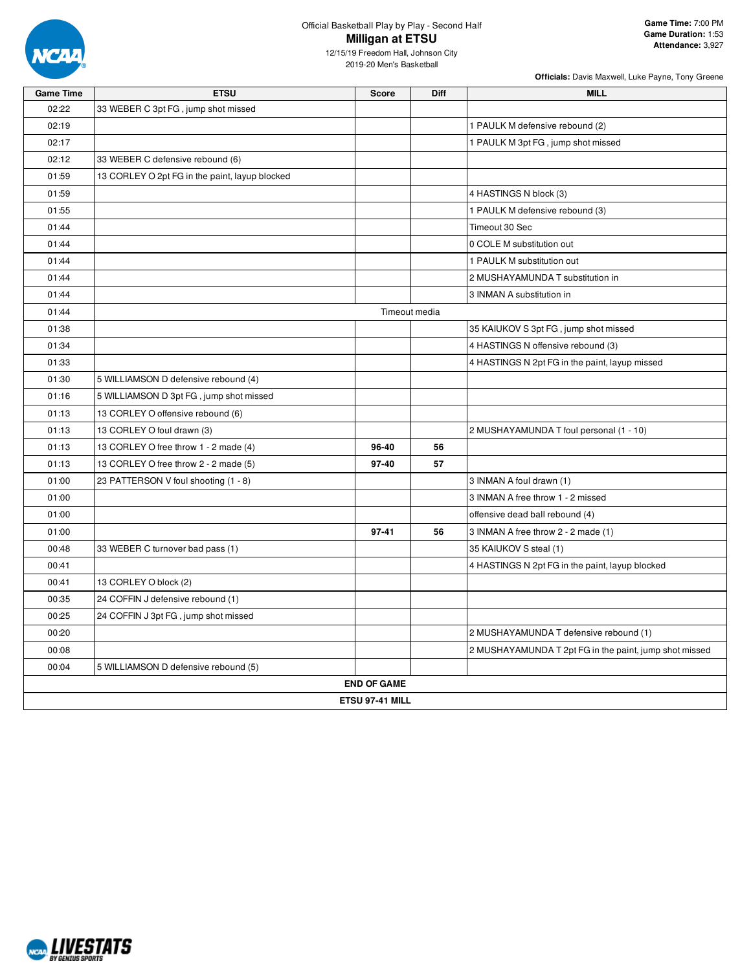

## Official Basketball Play by Play - Second Half **Milligan at ETSU**

12/15/19 Freedom Hall, Johnson City 2019-20 Men's Basketball

| <b>Game Time</b> | <b>ETSU</b>                                    | <b>Score</b>       | Diff          | <b>MILL</b>                                            |  |  |  |
|------------------|------------------------------------------------|--------------------|---------------|--------------------------------------------------------|--|--|--|
| 02:22            | 33 WEBER C 3pt FG, jump shot missed            |                    |               |                                                        |  |  |  |
| 02:19            |                                                |                    |               | 1 PAULK M defensive rebound (2)                        |  |  |  |
| 02:17            |                                                |                    |               | 1 PAULK M 3pt FG, jump shot missed                     |  |  |  |
| 02:12            | 33 WEBER C defensive rebound (6)               |                    |               |                                                        |  |  |  |
| 01:59            | 13 CORLEY O 2pt FG in the paint, layup blocked |                    |               |                                                        |  |  |  |
| 01:59            |                                                |                    |               | 4 HASTINGS N block (3)                                 |  |  |  |
| 01:55            |                                                |                    |               | 1 PAULK M defensive rebound (3)                        |  |  |  |
| 01:44            |                                                |                    |               | Timeout 30 Sec                                         |  |  |  |
| 01:44            |                                                |                    |               | 0 COLE M substitution out                              |  |  |  |
| 01:44            |                                                |                    |               | 1 PAULK M substitution out                             |  |  |  |
| 01:44            |                                                |                    |               | 2 MUSHAYAMUNDA T substitution in                       |  |  |  |
| 01:44            |                                                |                    |               | 3 INMAN A substitution in                              |  |  |  |
| 01:44            |                                                |                    | Timeout media |                                                        |  |  |  |
| 01:38            |                                                |                    |               | 35 KAIUKOV S 3pt FG, jump shot missed                  |  |  |  |
| 01:34            |                                                |                    |               | 4 HASTINGS N offensive rebound (3)                     |  |  |  |
| 01:33            |                                                |                    |               | 4 HASTINGS N 2pt FG in the paint, layup missed         |  |  |  |
| 01:30            | 5 WILLIAMSON D defensive rebound (4)           |                    |               |                                                        |  |  |  |
| 01:16            | 5 WILLIAMSON D 3pt FG, jump shot missed        |                    |               |                                                        |  |  |  |
| 01:13            | 13 CORLEY O offensive rebound (6)              |                    |               |                                                        |  |  |  |
| 01:13            | 13 CORLEY O foul drawn (3)                     |                    |               | 2 MUSHAYAMUNDA T foul personal (1 - 10)                |  |  |  |
| 01:13            | 13 CORLEY O free throw 1 - 2 made (4)          | 96-40              | 56            |                                                        |  |  |  |
| 01:13            | 13 CORLEY O free throw 2 - 2 made (5)          | 97-40              | 57            |                                                        |  |  |  |
| 01:00            | 23 PATTERSON V foul shooting (1 - 8)           |                    |               | 3 INMAN A foul drawn (1)                               |  |  |  |
| 01:00            |                                                |                    |               | 3 INMAN A free throw 1 - 2 missed                      |  |  |  |
| 01:00            |                                                |                    |               | offensive dead ball rebound (4)                        |  |  |  |
| 01:00            |                                                | 97-41              | 56            | 3 INMAN A free throw 2 - 2 made (1)                    |  |  |  |
| 00:48            | 33 WEBER C turnover bad pass (1)               |                    |               | 35 KAIUKOV S steal (1)                                 |  |  |  |
| 00:41            |                                                |                    |               | 4 HASTINGS N 2pt FG in the paint, layup blocked        |  |  |  |
| 00:41            | 13 CORLEY O block (2)                          |                    |               |                                                        |  |  |  |
| 00:35            | 24 COFFIN J defensive rebound (1)              |                    |               |                                                        |  |  |  |
| 00:25            | 24 COFFIN J 3pt FG, jump shot missed           |                    |               |                                                        |  |  |  |
| 00:20            |                                                |                    |               | 2 MUSHAYAMUNDA T defensive rebound (1)                 |  |  |  |
| 00:08            |                                                |                    |               | 2 MUSHAYAMUNDA T 2pt FG in the paint, jump shot missed |  |  |  |
| 00:04            | 5 WILLIAMSON D defensive rebound (5)           |                    |               |                                                        |  |  |  |
|                  |                                                | <b>END OF GAME</b> |               |                                                        |  |  |  |
| ETSU 97-41 MILL  |                                                |                    |               |                                                        |  |  |  |

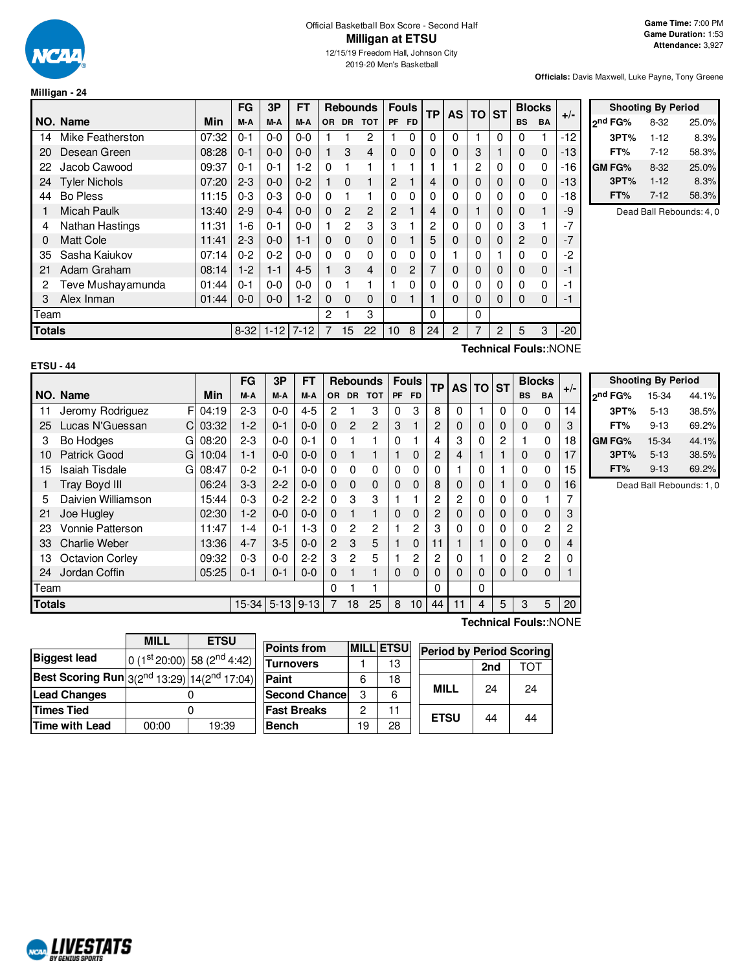

2019-20 Men's Basketball

**Officials:** Davis Maxwell, Luke Payne, Tony Greene

**Shooting By Period**

|  |  |  | Milligan - 24 |  |
|--|--|--|---------------|--|
|  |  |  |               |  |

|               |                        |       | <b>FG</b> | 3P            | <b>FT</b> |   | <b>Rebounds</b> |                | <b>Fouls</b> |           | <b>TP</b> |             | AS TO ST |          |              | <b>Blocks</b> |                                                                                  |               | <b>Shooting By Period</b> |                        |
|---------------|------------------------|-------|-----------|---------------|-----------|---|-----------------|----------------|--------------|-----------|-----------|-------------|----------|----------|--------------|---------------|----------------------------------------------------------------------------------|---------------|---------------------------|------------------------|
|               | NO. Name               | Min   | M-A       | M-A           | M-A       |   | OR DR TOT       |                | PF           | <b>FD</b> |           |             |          |          | <b>BS</b>    | <b>BA</b>     | $+/-$                                                                            | ond FG%       | $8 - 32$                  | 25.0%                  |
| 14            | Mike Featherston       | 07:32 | $0 - 1$   | $0-0$         | $0-0$     |   |                 | 2              |              | 0         |           | 0           |          | 0        | 0            |               | $-12$                                                                            | 3PT%          | $1 - 12$                  | 8.3%                   |
| 20            | Desean Green           | 08:28 | $0 - 1$   | $0 - 0$       | $0 - 0$   |   | 3               | 4              | $\mathbf 0$  | 0         |           | 0           | 3        |          | 0            | 0             | -13                                                                              | FT%           | $7-12$                    | 58.3%                  |
| 22            | Jacob Cawood           | 09:37 | $0 - 1$   | $0 - 1$       | $1-2$     | 0 |                 |                |              |           |           |             | 2        | 0        | 0            | 0             | -16                                                                              | <b>GM FG%</b> | $8 - 32$                  | 25.0%                  |
|               | 24 Tyler Nichols       | 07:20 | $2 - 3$   | $0-0$         | $0 - 2$   |   | $\mathbf 0$     |                | 2            |           | 4         | $\mathbf 0$ | 0        | 0        | $\mathbf 0$  | 0             | -13                                                                              | 3PT%          | $1 - 12$                  | 8.3%                   |
| 44            | <b>Bo Pless</b>        | 11:15 | $0 - 3$   | $0 - 3$       | $0-0$     | 0 |                 |                | $\Omega$     | 0         |           | 0           |          | 0        | 0            | 0             | $-18$                                                                            | FT%           | $7-12$                    | 58.3%                  |
|               | Micah Paulk            | 13:40 | $2-9$     | $0 - 4$       | $0 - 0$   | 0 | 2               | $\overline{2}$ | 2            |           |           | 0           |          | 0        | $\mathbf{0}$ |               | -9                                                                               |               |                           | Dead Ball Rebounds: 4, |
| 4             | <b>Nathan Hastings</b> | 11:31 | 1-6       | $0 - 1$       | $0-0$     |   | 2               | 3              | 3            |           | 2         | 0           |          | 0        | 3            |               | -7                                                                               |               |                           |                        |
| $\Omega$      | <b>Matt Cole</b>       | 11:41 | $2 - 3$   | $0-0$         | $1 - 1$   | 0 | $\mathbf 0$     | 0              | $\mathbf{0}$ |           | 5         | 0           |          | 0        | 2            | $\mathbf 0$   | -7                                                                               |               |                           |                        |
| 35            | Sasha Kajukov          | 07:14 | $0 - 2$   | $0 - 2$       | $0-0$     | 0 | $\Omega$        | 0              | $\Omega$     | 0         |           |             |          |          | 0            | $\Omega$      | $-2$                                                                             |               |                           |                        |
| 21            | Adam Graham            | 08:14 | $1-2$     | $1 - 1$       | $4 - 5$   |   | 3               | 4              | $\Omega$     | 2         |           | $\mathbf 0$ |          | 0        | 0            | 0             | -1                                                                               |               |                           |                        |
| 2             | Teve Mushayamunda      | 01:44 | $0 - 1$   | $0-0$         | $0-0$     |   |                 |                |              | 0         |           | 0           |          | 0        | 0            | 0             | -1                                                                               |               |                           |                        |
| 3             | Alex Inman             | 01:44 | $0 - 0$   | $0-0$         | $1 - 2$   | 0 | $\Omega$        | 0              | $\Omega$     |           |           | $\Omega$    | 0        | $\Omega$ | 0            | $\Omega$      | -1                                                                               |               |                           |                        |
| Team          |                        |       |           |               |           | 2 |                 | 3              |              |           | 0         |             | $\Omega$ |          |              |               |                                                                                  |               |                           |                        |
| <b>Totals</b> |                        |       |           | $8-32$   1-12 | $7 - 12$  | 7 | 15              | 22             | 10           | 8         | 24        | 2           |          | 2        | 5            | 3             | $-20$                                                                            |               |                           |                        |
|               |                        |       |           |               |           |   |                 |                |              |           |           |             |          |          |              |               | $T \sim 1$ , $T \sim 1$ , $T \sim 1$ , $\sim 1$ , $\sim 1$ , $\sim 1$ , $\sim 1$ |               |                           |                        |

| rsu | 14 |
|-----|----|

**Technical Fouls:**:NONE

|               |                             |           | <b>FG</b>       | 3P      | <b>FT</b> |                |                | <b>Rebounds</b> |   | <b>Fouls</b> | TP |                | AS TO ST    |                |           | <b>Blocks</b> |       |                     | <b>Shooting By Period</b> |                          |
|---------------|-----------------------------|-----------|-----------------|---------|-----------|----------------|----------------|-----------------|---|--------------|----|----------------|-------------|----------------|-----------|---------------|-------|---------------------|---------------------------|--------------------------|
|               | NO. Name                    | Min       | M-A             | M-A     | M-A       |                | OR DR          | TOT I           |   | PF FD        |    |                |             |                | <b>BS</b> | <b>BA</b>     | $+/-$ | 2 <sup>nd</sup> FG% | 15-34                     | 44.1%                    |
|               | Jeromy Rodriguez            | FI 04:19  | $2 - 3$         | $0 - 0$ | $4 - 5$   | 2              |                | 3               | 0 | 3            | 8  | 0              |             | $\Omega$       | 0         | 0             | 14    | 3PT%                | $5 - 13$                  | 38.5%                    |
| 25            | Lucas N'Guessan             | $C$ 03:32 | $1-2$           | $0 - 1$ | $0 - 0$   | $\Omega$       | $\overline{2}$ | 2               | 3 |              | 2  | 0              | $\mathbf 0$ | 0              | $\Omega$  | $\mathbf 0$   | 3     | FT%                 | $9 - 13$                  | 69.2%                    |
| 3             | Bo Hodges<br>GI             | 08:20     | $2 - 3$         | $0 - 0$ | $0 - 1$   | 0              |                |                 | 0 |              | 4  | 3              | 0           | $\overline{2}$ |           | 0             | 18    | <b>GM FG%</b>       | 15-34                     | 44.1%                    |
| 10            | <b>Patrick Good</b><br>G    | 10:04     | $1 - 1$         | $0 - 0$ | $0 - 0$   | 0              |                |                 |   | 0            | 2  | 4              |             |                | $\Omega$  | 0             | 17    | 3PT%                | $5 - 13$                  | 38.5%                    |
| 15            | <b>Isaiah Tisdale</b><br>GI | 08:47     | $0 - 2$         | $0 - 1$ | $0-0$     | 0              | 0              | $\Omega$        | 0 |              | 0  |                | 0           |                | 0         | 0             | 15    | FT%                 | $9 - 13$                  | 69.2%                    |
|               | Tray Boyd III               | 06:24     | $3-3$           | $2 - 2$ | $0 - 0$   | 0              | $\mathbf{0}$   | $\mathbf 0$     | 0 | $\Omega$     | 8  | $\mathbf 0$    | 0           |                | 0         | $\mathbf{0}$  | 16    |                     |                           | Dead Ball Rebounds: 1, 0 |
| 5.            | Daivien Williamson          | 15:44     | $0 - 3$         | $0 - 2$ | $2 - 2$   | 0              | 3              | 3               |   |              | 2  | $\overline{c}$ | 0           | $\mathbf 0$    | $\Omega$  |               |       |                     |                           |                          |
| 21            | Joe Hugley                  | 02:30     | $1-2$           | $0-0$   | $0 - 0$   | 0              |                |                 | 0 |              | 2  | 0              | 0           | 0              | $\Omega$  | $\mathbf 0$   | 3     |                     |                           |                          |
| 23            | <b>Vonnie Patterson</b>     | 11:47     | $1 - 4$         | $0 - 1$ | $1-3$     | 0              | 2              | 2               |   | 2            | 3  | $\Omega$       | 0           | $\mathbf 0$    | $\Omega$  | 2             | 2     |                     |                           |                          |
| 33            | <b>Charlie Weber</b>        | 13:36     | $4 - 7$         | $3-5$   | $0 - 0$   | $\overline{2}$ | 3              | 5               |   | 0            | 11 |                |             | 0              | $\Omega$  | $\mathbf{0}$  | 4     |                     |                           |                          |
| 13.           | <b>Octavion Corley</b>      | 09:32     | $0 - 3$         | $0-0$   | $2 - 2$   | 3              | $\overline{c}$ | 5               |   | 2            | 2  | 0              |             | $\Omega$       | 2         | 2             |       |                     |                           |                          |
| 24            | Jordan Coffin               | 05:25     | $0 - 1$         | $0 - 1$ | $0 - 0$   | 0              |                |                 | 0 |              | 0  | $\Omega$       | 0           | 0              | 0         | 0             |       |                     |                           |                          |
| Team          |                             |           |                 |         |           | 0              |                |                 |   |              | 0  |                | 0           |                |           |               |       |                     |                           |                          |
| <b>Totals</b> |                             |           | 15-34 5-13 9-13 |         |           |                | 18             | 25              | 8 | 10           | 44 | 11             | 4           | 5              | 3         | 5             | 20    |                     |                           |                          |

|                                                       | <b>MILL</b>    | <b>ETSU</b>                             |  |  |  |  |  |  |
|-------------------------------------------------------|----------------|-----------------------------------------|--|--|--|--|--|--|
| <b>Biggest lead</b>                                   |                | 0 (1st 20:00) 58 (2 <sup>nd</sup> 4:42) |  |  |  |  |  |  |
| Best Scoring Run $3(2^{nd} 13:29)  14(2^{nd} 17:04) $ |                |                                         |  |  |  |  |  |  |
| <b>Lead Changes</b>                                   |                |                                         |  |  |  |  |  |  |
| <b>Times Tied</b>                                     |                |                                         |  |  |  |  |  |  |
| Time with Lead                                        | 19:39<br>00:00 |                                         |  |  |  |  |  |  |

| <b>Points from</b>    |    | <b>MILL ETSU</b> | <b>Period by Period Scoring</b> |     |    |
|-----------------------|----|------------------|---------------------------------|-----|----|
| <b>Turnovers</b>      |    | 13               |                                 | 2nd |    |
| Paint                 | 6  | 18               |                                 |     |    |
| <b>Second Chancel</b> | 3  | 6                | <b>MILL</b>                     | 24  | 24 |
| <b>Fast Breaks</b>    | 2  | 11               |                                 |     |    |
| <b>Bench</b>          | 19 | 28               | <b>ETSU</b>                     | 44  | 44 |

**Technical Fouls:**:NONE

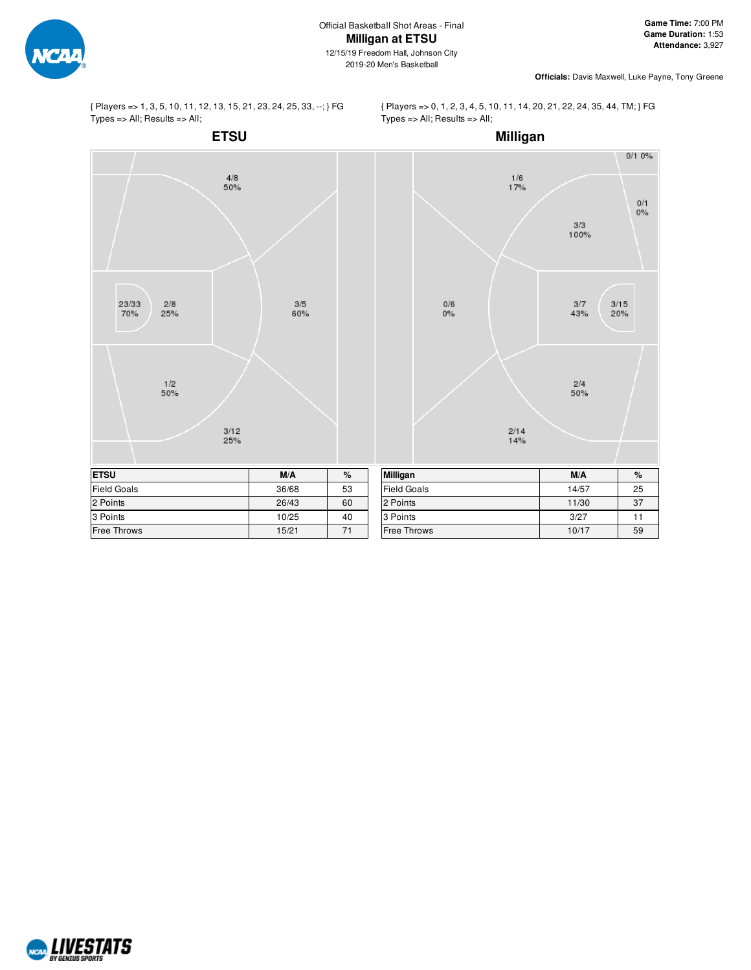

{ Players => 1, 3, 5, 10, 11, 12, 13, 15, 21, 23, 24, 25, 33, --; } FG Types => All; Results => All;

{ Players => 0, 1, 2, 3, 4, 5, 10, 11, 14, 20, 21, 22, 24, 35, 44, TM; } FG Types => All; Results => All;



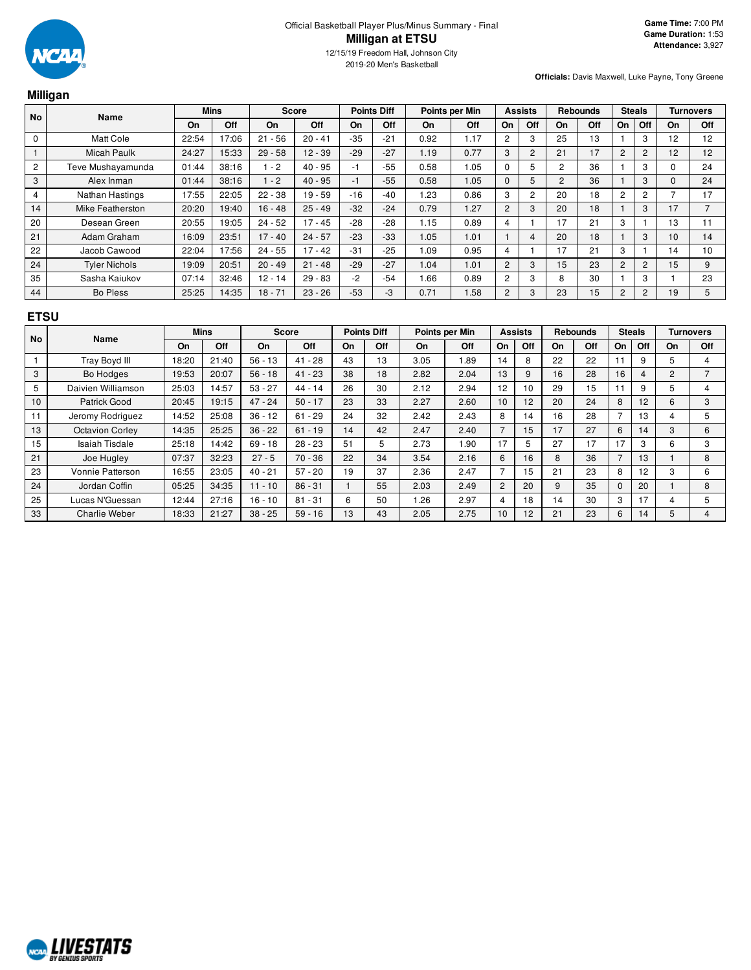

|                | Milligan             |       |             |           |              |       |                    |      |                |                |                |                |                 |                |                |    |                  |
|----------------|----------------------|-------|-------------|-----------|--------------|-------|--------------------|------|----------------|----------------|----------------|----------------|-----------------|----------------|----------------|----|------------------|
| <b>No</b>      | Name                 |       | <b>Mins</b> |           | <b>Score</b> |       | <b>Points Diff</b> |      | Points per Min |                | <b>Assists</b> |                | <b>Rebounds</b> |                | <b>Steals</b>  |    | <b>Turnovers</b> |
|                |                      | On    | Off         | On        | Off          | On    | Off                | On   | Off            | On             | Off            | On             | Off             | On             | Off            | On | Off              |
| 0              | Matt Cole            | 22:54 | 17:06       | $21 - 56$ | $20 - 41$    | $-35$ | $-21$              | 0.92 | 1.17           | $\overline{c}$ | 3              | 25             | 13              |                | 3              | 12 | 12               |
|                | <b>Micah Paulk</b>   | 24:27 | 15:33       | $29 - 58$ | $12 - 39$    | $-29$ | $-27$              | 1.19 | 0.77           | 3              | $\overline{2}$ | 21             | 17              | 2              | $\overline{2}$ | 12 | 12               |
| $\overline{c}$ | Teve Mushayamunda    | 01:44 | 38:16       | $-2$      | $40 - 95$    | -1    | $-55$              | 0.58 | 1.05           | 0              | 5              | $\overline{2}$ | 36              |                | 3              | 0  | 24               |
| 3              | Alex Inman           | 01:44 | 38:16       | $-2$      | $40 - 95$    | -1    | $-55$              | 0.58 | 1.05           | $\Omega$       | 5              | $\overline{2}$ | 36              |                | 3              | 0  | 24               |
| 4              | Nathan Hastings      | 17:55 | 22:05       | $22 - 38$ | $19 - 59$    | $-16$ | $-40$              | 1.23 | 0.86           | 3              | 2              | 20             | 18              | 2              | 2              |    | 17               |
| 14             | Mike Featherston     | 20:20 | 19:40       | $16 - 48$ | $25 - 49$    | $-32$ | $-24$              | 0.79 | 1.27           | $\overline{c}$ | 3              | 20             | 18              |                | 3              | 17 | $\overline{7}$   |
| 20             | Desean Green         | 20:55 | 19:05       | $24 - 52$ | $17 - 45$    | $-28$ | $-28$              | 1.15 | 0.89           | 4              |                | 17             | 21              | 3              |                | 13 | 11               |
| 21             | Adam Graham          | 16:09 | 23:51       | $17 - 40$ | $24 - 57$    | $-23$ | $-33$              | 1.05 | 1.01           |                | 4              | 20             | 18              |                | 3              | 10 | 14               |
| 22             | Jacob Cawood         | 22:04 | 17:56       | $24 - 55$ | $17 - 42$    | $-31$ | $-25$              | 1.09 | 0.95           | 4              |                | 17             | 21              | 3              |                | 14 | 10               |
| 24             | <b>Tyler Nichols</b> | 19:09 | 20:51       | $20 - 49$ | $21 - 48$    | $-29$ | $-27$              | 1.04 | 1.01           | $\overline{2}$ | 3              | 15             | 23              | $\overline{2}$ | $\overline{2}$ | 15 | 9                |
| 35             | Sasha Kaiukov        | 07:14 | 32:46       | 12 - 14   | $29 - 83$    | $-2$  | $-54$              | 1.66 | 0.89           | 2              | 3              | 8              | 30              |                | 3              |    | 23               |
| 44             | Bo Pless             | 25:25 | 14:35       | $18 - 71$ | $23 - 26$    | $-53$ | -3                 | 0.71 | 1.58           | $\overline{c}$ | 3              | 23             | 15              | 2              | $\overline{c}$ | 19 | 5                |

## **ETSU**

| <b>No</b> | Name                   |       | <b>Mins</b> |           | <b>Score</b> |    | <b>Points Diff</b> |      | Points per Min |                | <b>Assists</b> |    | <b>Rebounds</b> |          | <b>Steals</b>   |                | Turnovers |
|-----------|------------------------|-------|-------------|-----------|--------------|----|--------------------|------|----------------|----------------|----------------|----|-----------------|----------|-----------------|----------------|-----------|
|           |                        | On    | Off         | On        | Off          | On | Off                | On.  | <b>Off</b>     | On             | Off            | On | <b>Off</b>      | On       | Off             | On             | Off       |
|           | <b>Tray Boyd III</b>   | 18:20 | 21:40       | $56 - 13$ | $41 - 28$    | 43 | 13                 | 3.05 | .89            | 14             | 8              | 22 | 22              | 11       | 9               | 5              |           |
| 3         | <b>Bo Hodges</b>       | 19:53 | 20:07       | $56 - 18$ | $41 - 23$    | 38 | 18                 | 2.82 | 2.04           | 13             | 9              | 16 | 28              | 16       | 4               | $\overline{2}$ |           |
| 5         | Daivien Williamson     | 25:03 | 14:57       | $53 - 27$ | $44 - 14$    | 26 | 30                 | 2.12 | 2.94           | 12             | 10             | 29 | 15              | 11       | 9               | 5              |           |
| 10        | Patrick Good           | 20:45 | 19:15       | $47 - 24$ | $50 - 17$    | 23 | 33                 | 2.27 | 2.60           | 10             | 12             | 20 | 24              | 8        | 12              | 6              | 3         |
| 11        | Jeromy Rodriguez       | 14:52 | 25:08       | $36 - 12$ | $61 - 29$    | 24 | 32                 | 2.42 | 2.43           | 8              | 14             | 16 | 28              |          | 13              | 4              | 5         |
| 13        | <b>Octavion Corley</b> | 14:35 | 25:25       | $36 - 22$ | $61 - 19$    | 14 | 42                 | 2.47 | 2.40           | $\overline{ }$ | 15             | 17 | 27              | 6        | 14              | 3              | 6         |
| 15        | Isaiah Tisdale         | 25:18 | 14:42       | $69 - 18$ | $28 - 23$    | 51 | 5                  | 2.73 | .90            | 17             | 5              | 27 | 17              | 17       | 3               | 6              | 3         |
| 21        | Joe Hugley             | 07:37 | 32:23       | $27 - 5$  | $70 - 36$    | 22 | 34                 | 3.54 | 2.16           | 6              | 16             | 8  | 36              | ⇁        | 13              |                | 8         |
| 23        | Vonnie Patterson       | 16:55 | 23:05       | $40 - 21$ | $57 - 20$    | 19 | 37                 | 2.36 | 2.47           |                | 15             | 21 | 23              | 8        | 12 <sup>2</sup> | 3              | 6         |
| 24        | Jordan Coffin          | 05:25 | 34:35       | $11 - 10$ | $86 - 31$    |    | 55                 | 2.03 | 2.49           | 2              | 20             |    | 35              | $\Omega$ | 20              |                | 8         |
| 25        | Lucas N'Guessan        | 12:44 | 27:16       | $16 - 10$ | $81 - 31$    | 6  | 50                 | .26  | 2.97           | 4              | 18             | 14 | 30              | 3        | 17              | 4              | 5         |
| 33        | <b>Charlie Weber</b>   | 18:33 | 21:27       | $38 - 25$ | $59 - 16$    | 13 | 43                 | 2.05 | 2.75           | 10             | 12             | 21 | 23              | 6        | 14              | 5              | 4         |

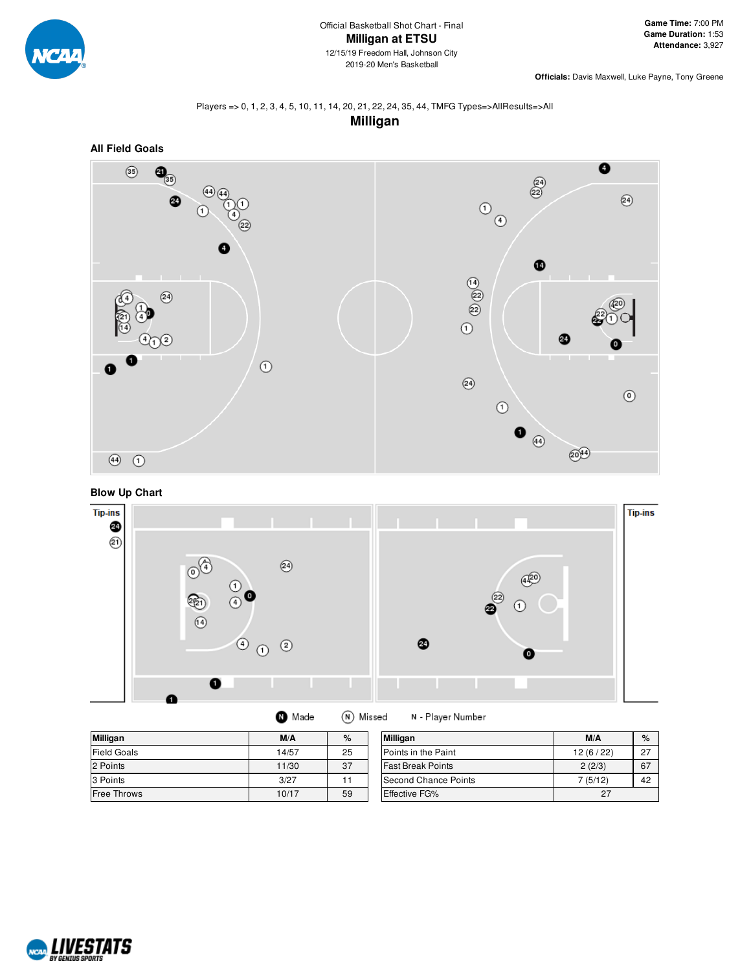

#### Players => 0, 1, 2, 3, 4, 5, 10, 11, 14, 20, 21, 22, 24, 35, 44, TMFG Types=>AllResults=>All **Milligan**







| <b>Milligan</b>    | M/A   | %  | <b>Milligan</b>          | M/A      | %  |
|--------------------|-------|----|--------------------------|----------|----|
| <b>Field Goals</b> | 14/57 | 25 | Points in the Paint      | 12(6/22) | 27 |
| 2 Points           | 11/30 | 37 | <b>Fast Break Points</b> | 2(2/3)   | 67 |
| 3 Points           | 3/27  |    | Second Chance Points     | 7(5/12)  | 42 |
| <b>Free Throws</b> | 10/17 | 59 | Effective FG%            | 27       |    |

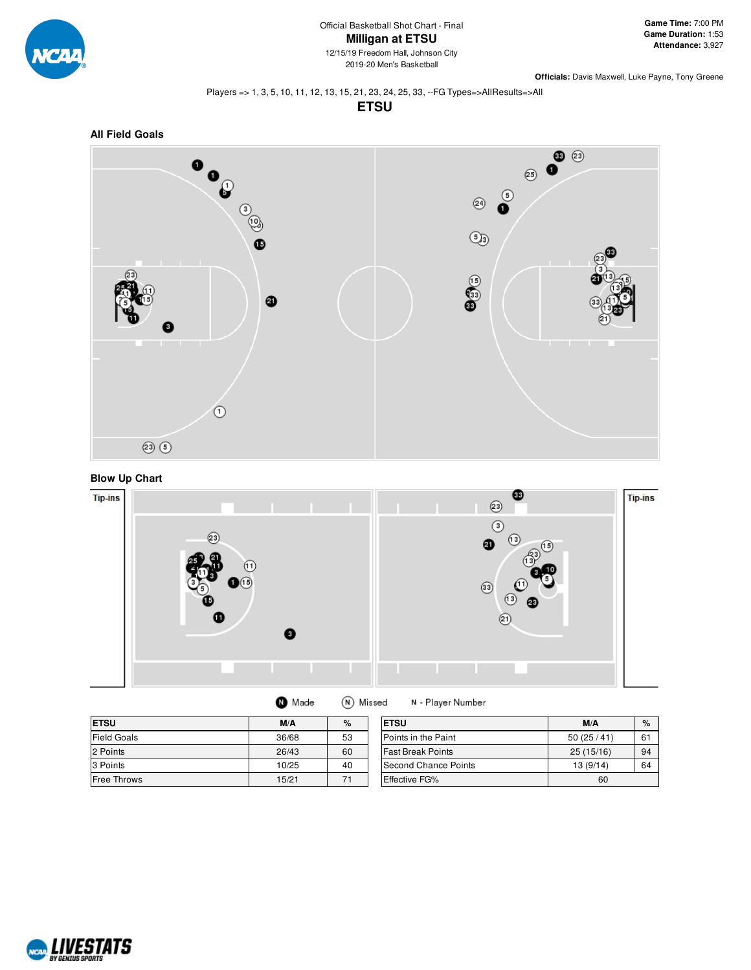

#### Players => 1, 3, 5, 10, 11, 12, 13, 15, 21, 23, 24, 25, 33, --FG Types=>AllResults=>All

**ETSU**







| <b>ETSU</b>        | M/A   | %  | <b>ETSU</b>              | M/A       | $\%$ |
|--------------------|-------|----|--------------------------|-----------|------|
| <b>Field Goals</b> | 36/68 | 53 | Points in the Paint      | 50(25/41) | 61   |
| 2 Points           | 26/43 | 60 | <b>Fast Break Points</b> | 25(15/16) | 94   |
| 3 Points           | 10/25 | 40 | Second Chance Points     | 13(9/14)  | 64   |
| <b>Free Throws</b> | 15/21 | 71 | <b>Effective FG%</b>     | 60        |      |

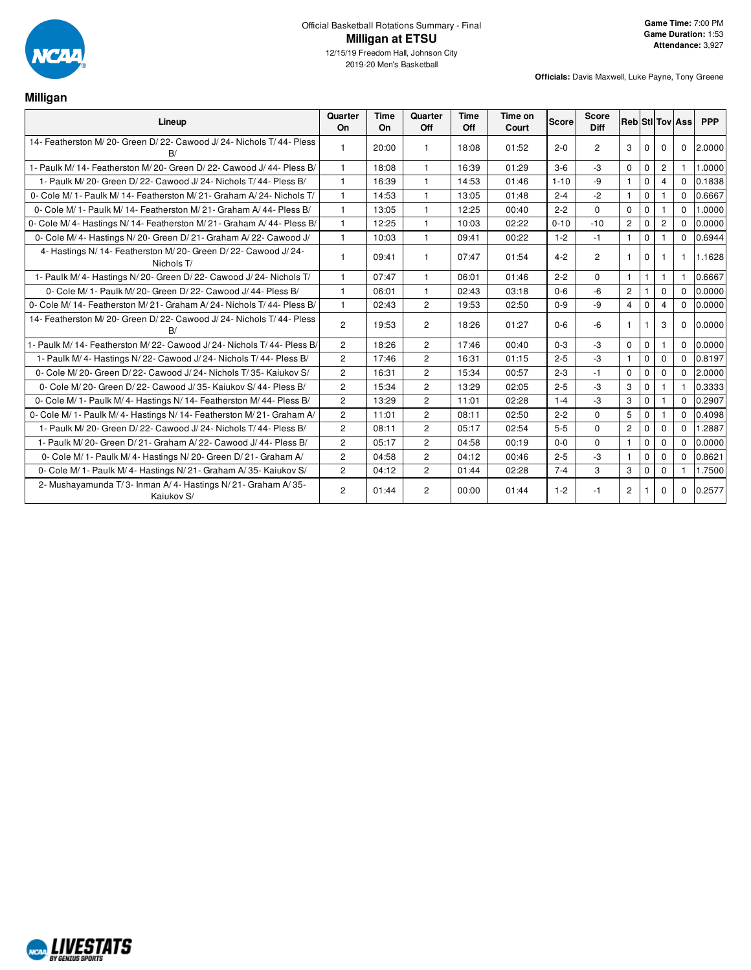

2019-20 Men's Basketball

**Officials:** Davis Maxwell, Luke Payne, Tony Greene

**Milligan**

| Lineup                                                                         | Quarter<br>On  | Time<br>On | Quarter<br>Off | Time<br>Off | Time on<br>Court | Score    | <b>Score</b><br><b>Diff</b> |                       |              |                | <b>Reb Sti Tov Ass</b> | <b>PPP</b> |
|--------------------------------------------------------------------------------|----------------|------------|----------------|-------------|------------------|----------|-----------------------------|-----------------------|--------------|----------------|------------------------|------------|
| 14- Featherston M/20- Green D/22- Cawood J/24- Nichols T/44- Pless<br>B/       |                | 20:00      |                | 18:08       | 01:52            | $2 - 0$  | $\overline{2}$              | $\mathbf{3}$          | $\Omega$     | $\Omega$       | $\Omega$               | 2.0000     |
| 1- Paulk M/14- Featherston M/20- Green D/22- Cawood J/44- Pless B/             | $\mathbf{1}$   | 18:08      | $\mathbf{1}$   | 16:39       | 01:29            | $3-6$    | $-3$                        | $\Omega$              | $\mathbf 0$  | $\overline{2}$ |                        | 1.0000     |
| 1- Paulk M/20- Green D/22- Cawood J/24- Nichols T/44- Pless B/                 | 1              | 16:39      | 1              | 14:53       | 01:46            | $1 - 10$ | -9                          | $\mathbf{1}$          | $\mathbf{0}$ | 4              | $\Omega$               | 0.1838     |
| 0- Cole M/ 1- Paulk M/ 14- Featherston M/ 21- Graham A/ 24- Nichols T/         | $\mathbf{1}$   | 14:53      | $\mathbf{1}$   | 13:05       | 01:48            | $2 - 4$  | $-2$                        | $\mathbf{1}$          | $\mathbf 0$  |                | $\Omega$               | 0.6667     |
| 0- Cole M/ 1- Paulk M/ 14- Featherston M/ 21- Graham A/ 44- Pless B/           | $\mathbf{1}$   | 13:05      | $\mathbf{1}$   | 12:25       | 00:40            | $2 - 2$  | $\Omega$                    | $\Omega$              | $\Omega$     | $\mathbf{1}$   | $\Omega$               | 1.0000     |
| 0- Cole M/4- Hastings N/14- Featherston M/21- Graham A/44- Pless B/            | $\mathbf{1}$   | 12:25      | $\mathbf{1}$   | 10:03       | 02:22            | $0 - 10$ | $-10$                       | $\overline{2}$        | $\mathbf 0$  | $\overline{2}$ | $\Omega$               | 0.0000     |
| 0- Cole M/4- Hastings N/20- Green D/21- Graham A/22- Cawood J/                 | $\mathbf{1}$   | 10:03      | $\mathbf{1}$   | 09:41       | 00:22            | $1 - 2$  | $-1$                        | $\mathbf{1}$          | $\mathbf 0$  |                | $\Omega$               | 0.6944     |
| 4- Hastings N/ 14- Featherston M/ 20- Green D/ 22- Cawood J/ 24-<br>Nichols T/ |                | 09:41      | $\mathbf{1}$   | 07:47       | 01:54            | $4 - 2$  | $\overline{2}$              | $\mathbf{1}$          | $\mathbf 0$  |                | $\mathbf{1}$           | 1.1628     |
| 1- Paulk M/4- Hastings N/20- Green D/22- Cawood J/24- Nichols T/               | $\mathbf{1}$   | 07:47      | $\mathbf{1}$   | 06:01       | 01:46            | $2 - 2$  | $\Omega$                    | $\mathbf{1}$          | $\mathbf{1}$ | $\mathbf{1}$   |                        | 0.6667     |
| 0- Cole M/ 1- Paulk M/ 20- Green D/ 22- Cawood J/ 44- Pless B/                 |                | 06:01      |                | 02:43       | 03:18            | $0 - 6$  | -6                          | $\mathbf{2}^{\prime}$ |              | $\Omega$       | $\Omega$               | 0.0000     |
| 0- Cole M/ 14- Featherston M/ 21- Graham A/ 24- Nichols T/ 44- Pless B/        | $\mathbf{1}$   | 02:43      | $\overline{2}$ | 19:53       | 02:50            | $0 - 9$  | -9                          | $\overline{4}$        | $\Omega$     | $\overline{4}$ | $\Omega$               | 0.0000     |
| 14- Featherston M/20- Green D/22- Cawood J/24- Nichols T/44- Pless<br>B/       | $\overline{2}$ | 19:53      | $\overline{c}$ | 18:26       | 01:27            | $0 - 6$  | $-6$                        | $\mathbf{1}$          |              | 3              | $\Omega$               | 0.0000     |
| 1- Paulk M/ 14- Featherston M/ 22- Cawood J/ 24- Nichols T/ 44- Pless B/       | $\overline{2}$ | 18:26      | $\overline{2}$ | 17:46       | 00:40            | $0 - 3$  | $-3$                        | $\mathbf 0$           | $\mathbf 0$  | $\mathbf{1}$   | $\Omega$               | 0.0000     |
| 1- Paulk M/4- Hastings N/22- Cawood J/24- Nichols T/44- Pless B/               | $\overline{2}$ | 17:46      | $\overline{2}$ | 16:31       | 01:15            | $2 - 5$  | $-3$                        | $\mathbf{1}$          | $\Omega$     | $\Omega$       | $\Omega$               | 0.8197     |
| 0- Cole M/20- Green D/22- Cawood J/24- Nichols T/35- Kajukov S/                | $\overline{2}$ | 16:31      | $\overline{2}$ | 15:34       | 00:57            | $2 - 3$  | $-1$                        | $\mathbf 0$           | $\mathbf 0$  | $\mathbf 0$    | $\Omega$               | 2.0000     |
| 0- Cole M/ 20- Green D/ 22- Cawood J/ 35- Kaiukov S/ 44- Pless B/              | $\overline{2}$ | 15:34      | $\overline{2}$ | 13:29       | 02:05            | $2 - 5$  | $-3$                        | 3                     | $\mathbf 0$  | 1              |                        | 0.3333     |
| 0- Cole M/ 1- Paulk M/ 4- Hastings N/ 14- Featherston M/ 44- Pless B/          | $\overline{2}$ | 13:29      | $\overline{2}$ | 11:01       | 02:28            | $1 - 4$  | $-3$                        | 3                     | $\Omega$     |                | $\Omega$               | 0.2907     |
| 0- Cole M/ 1- Paulk M/ 4- Hastings N/ 14- Featherston M/ 21- Graham A/         | $\overline{2}$ | 11:01      | $\overline{2}$ | 08:11       | 02:50            | $2 - 2$  | $\Omega$                    | 5                     | $\mathbf 0$  |                | $\Omega$               | 0.4098     |
| 1- Paulk M/20- Green D/22- Cawood J/24- Nichols T/44- Pless B/                 | $\overline{2}$ | 08:11      | $\overline{2}$ | 05:17       | 02:54            | $5 - 5$  | $\Omega$                    | $\overline{2}$        | $\mathbf 0$  | $\mathbf 0$    | $\Omega$               | 1.2887     |
| 1- Paulk M/20- Green D/21- Graham A/22- Cawood J/44- Pless B/                  | $\overline{2}$ | 05:17      | $\overline{2}$ | 04:58       | 00:19            | $0 - 0$  | $\Omega$                    | $\mathbf{1}$          | $\Omega$     | $\Omega$       | $\Omega$               | 0.0000     |
| 0- Cole M/1- Paulk M/4- Hastings N/20- Green D/21- Graham A/                   | $\overline{2}$ | 04:58      | $\overline{2}$ | 04:12       | 00:46            | $2 - 5$  | $-3$                        | $\mathbf{1}$          | $\mathbf 0$  | $\Omega$       | $\Omega$               | 0.8621     |
| 0- Cole M/ 1- Paulk M/ 4- Hastings N/ 21- Graham A/ 35- Kaiukov S/             | $\overline{2}$ | 04:12      | $\overline{2}$ | 01:44       | 02:28            | $7 - 4$  | 3                           | 3                     | $\mathbf 0$  | $\mathbf 0$    |                        | 1.7500     |
| 2- Mushayamunda T/3- Inman A/4- Hastings N/21- Graham A/35-<br>Kaiukov S/      | $\overline{2}$ | 01:44      | $\overline{2}$ | 00:00       | 01:44            | $1 - 2$  | -1                          | $\overline{2}$        |              | 0              | $\mathbf{0}$           | 0.2577     |

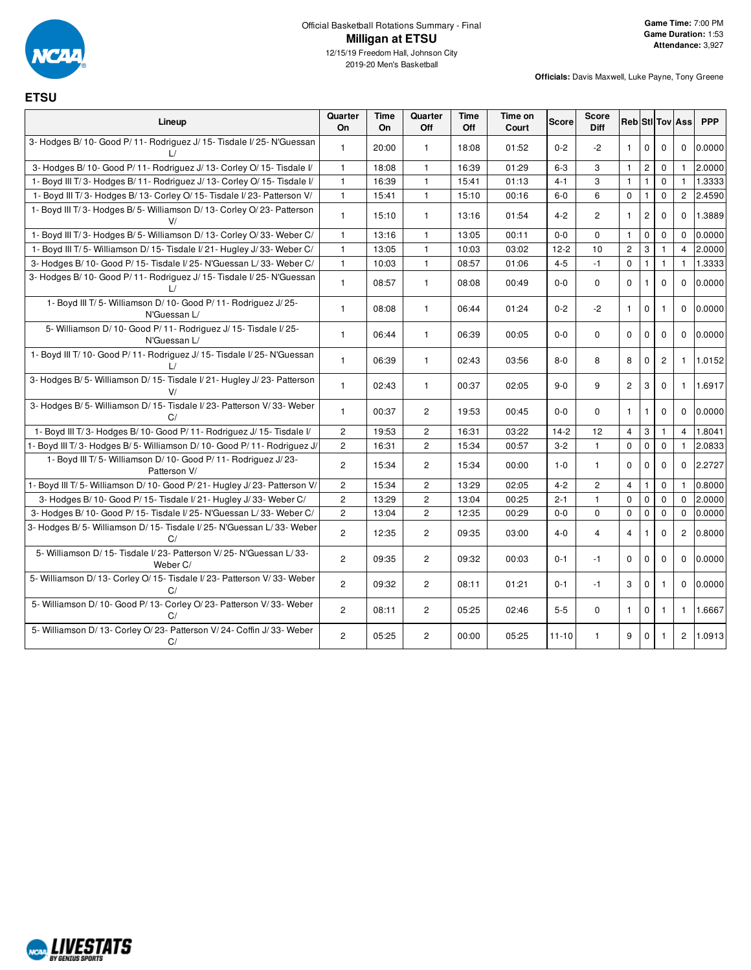

**ETSU**

| Lineup                                                                            | Quarter<br><b>On</b> | Time<br>On | Quarter<br>Off        | Time<br>Off | Time on<br>Court | <b>Score</b> | Score<br><b>Diff</b> |                |                |                       | <b>Reb</b> Sti Tov Ass | <b>PPP</b> |
|-----------------------------------------------------------------------------------|----------------------|------------|-----------------------|-------------|------------------|--------------|----------------------|----------------|----------------|-----------------------|------------------------|------------|
| 3- Hodges B/10- Good P/11- Rodriguez J/15- Tisdale I/25- N'Guessan                | $\mathbf{1}$         | 20:00      | $\mathbf{1}$          | 18:08       | 01:52            | $0 - 2$      | $-2$                 | $\mathbf{1}$   | $\mathbf 0$    | $\mathbf 0$           | $\mathbf 0$            | 0.0000     |
| 3- Hodges B/10- Good P/11- Rodriguez J/13- Corley O/15- Tisdale I/                | $\mathbf{1}$         | 18:08      | $\mathbf{1}$          | 16:39       | 01:29            | $6-3$        | 3                    | $\mathbf{1}$   | $\overline{c}$ | 0                     | $\mathbf{1}$           | 2.0000     |
| 1- Boyd III T/3- Hodges B/11- Rodriguez J/13- Corley O/15- Tisdale I/             | $\mathbf{1}$         | 16:39      | $\mathbf{1}$          | 15:41       | 01:13            | $4 - 1$      | 3                    | $\mathbf{1}$   | $\mathbf{1}$   | $\mathbf 0$           | $\mathbf{1}$           | 1.3333     |
| 1- Boyd III T/3- Hodges B/13- Corley O/15- Tisdale I/23- Patterson V/             | $\mathbf{1}$         | 15:41      | $\mathbf{1}$          | 15:10       | 00:16            | $6-0$        | 6                    | $\mathbf 0$    | $\mathbf{1}$   | $\mathbf 0$           | $\overline{2}$         | 2.4590     |
| 1- Boyd III T/3- Hodges B/5- Williamson D/13- Corley O/23- Patterson              | $\mathbf{1}$         | 15:10      | $\mathbf{1}$          | 13:16       | 01:54            | $4 - 2$      | $\overline{c}$       | $\mathbf{1}$   | $\sqrt{2}$     | $\mathbf 0$           | $\mathbf 0$            | 1.3889     |
| 1- Boyd III T/3- Hodges B/5- Williamson D/13- Corley O/33- Weber C/               | $\mathbf{1}$         | 13:16      | $\mathbf{1}$          | 13:05       | 00:11            | $0-0$        | $\mathbf 0$          | $\mathbf{1}$   | $\mathbf 0$    | $\mathbf 0$           | $\mathbf{0}$           | 0.0000     |
| 1- Boyd III T/5- Williamson D/15- Tisdale I/21- Hugley J/33- Weber C/             | $\mathbf{1}$         | 13:05      | $\mathbf{1}$          | 10:03       | 03:02            | $12 - 2$     | 10                   | $\mathbf{2}$   | 3              | $\mathbf{1}$          | $\overline{4}$         | 2.0000     |
| 3- Hodges B/ 10- Good P/ 15- Tisdale I/ 25- N'Guessan L/ 33- Weber C/             | $\mathbf{1}$         | 10:03      | $\mathbf{1}$          | 08:57       | 01:06            | $4 - 5$      | $-1$                 | $\mathbf 0$    | $\mathbf{1}$   | $\mathbf{1}$          | $\mathbf{1}$           | 1.3333     |
| 3- Hodges B/ 10- Good P/ 11- Rodriguez J/ 15- Tisdale I/ 25- N'Guessan            | $\mathbf{1}$         | 08:57      | $\mathbf{1}$          | 08:08       | 00:49            | $0-0$        | $\Omega$             | $\Omega$       | 1              | $\Omega$              | $\Omega$               | 0.0000     |
| 1- Boyd III T/5- Williamson D/10- Good P/11- Rodriguez J/25-<br>N'Guessan L/      | $\mathbf{1}$         | 08:08      | $\mathbf{1}$          | 06:44       | 01:24            | $0 - 2$      | $-2$                 | $\mathbf{1}$   | $\mathbf 0$    | $\mathbf{1}$          | $\mathbf 0$            | 0.0000     |
| 5- Williamson D/ 10- Good P/ 11- Rodriguez J/ 15- Tisdale I/ 25-<br>N'Guessan L/  | $\mathbf{1}$         | 06:44      | $\mathbf{1}$          | 06:39       | 00:05            | $0-0$        | $\Omega$             | $\Omega$       | $\mathbf{0}$   | 0                     | $\Omega$               | 0.0000     |
| 1- Boyd III T/ 10- Good P/ 11- Rodriguez J/ 15- Tisdale I/ 25- N'Guessan          | 1                    | 06:39      | $\mathbf{1}$          | 02:43       | 03:56            | $8-0$        | 8                    | 8              | $\mathbf{0}$   | $\mathbf{2}^{\prime}$ | 1                      | 1.0152     |
| 3- Hodges B/5- Williamson D/15- Tisdale I/21- Hugley J/23- Patterson<br>V/        | $\mathbf{1}$         | 02:43      | $\mathbf{1}$          | 00:37       | 02:05            | $9 - 0$      | 9                    | $\overline{2}$ | 3              | $\mathbf 0$           | $\mathbf{1}$           | 1.6917     |
| 3- Hodges B/5- Williamson D/15- Tisdale I/23- Patterson V/33- Weber<br>C/         | $\mathbf{1}$         | 00:37      | $\overline{2}$        | 19:53       | 00:45            | $0 - 0$      | $\Omega$             | $\mathbf{1}$   | 1              | $\mathbf 0$           | $\Omega$               | 0.0000     |
| 1- Boyd III T/3- Hodges B/10- Good P/11- Rodriguez J/15- Tisdale I/               | $\mathbf{2}$         | 19:53      | $\overline{2}$        | 16:31       | 03:22            | $14-2$       | 12                   | $\overline{4}$ | 3              | 1                     | $\overline{4}$         | 1.8041     |
| 1- Boyd III T/3- Hodges B/5- Williamson D/10- Good P/11- Rodriguez J/             | $\overline{c}$       | 16:31      | $\overline{2}$        | 15:34       | 00:57            | $3 - 2$      | $\mathbf{1}$         | $\mathbf 0$    | $\mathbf 0$    | $\mathbf 0$           | $\mathbf{1}$           | 2.0833     |
| 1- Boyd III T/5- Williamson D/10- Good P/11- Rodriguez J/23-<br>Patterson V/      | $\overline{c}$       | 15:34      | $\mathbf{2}$          | 15:34       | 00:00            | $1 - 0$      | $\mathbf{1}$         | $\mathbf 0$    | 0              | $\mathbf 0$           | $\mathbf 0$            | 2.2727     |
| 1- Boyd III T/5- Williamson D/10- Good P/21- Hugley J/23- Patterson V/            | $\mathbf{2}$         | 15:34      | $\overline{2}$        | 13:29       | 02:05            | $4 - 2$      | $\overline{c}$       | $\overline{4}$ | 1              | 0                     |                        | 0.8000     |
| 3- Hodges B/10- Good P/15- Tisdale I/21- Hugley J/33- Weber C/                    | $\overline{c}$       | 13:29      | $\overline{2}$        | 13:04       | 00:25            | $2 - 1$      | $\mathbf{1}$         | $\mathbf 0$    | $\mathbf 0$    | $\mathbf 0$           | $\Omega$               | 2.0000     |
| 3- Hodges B/ 10- Good P/ 15- Tisdale I/ 25- N'Guessan L/ 33- Weber C/             | $\overline{c}$       | 13:04      | $\overline{2}$        | 12:35       | 00:29            | $0-0$        | $\mathbf 0$          | $\mathbf 0$    | $\mathbf 0$    | $\mathbf 0$           | $\mathbf 0$            | 0.0000     |
| 3- Hodges B/5- Williamson D/15- Tisdale I/25- N'Guessan L/33- Weber<br>C/         | $\overline{c}$       | 12:35      | $\mathbf{2}^{\prime}$ | 09:35       | 03:00            | $4 - 0$      | 4                    | $\overline{4}$ | 1              | $\mathbf 0$           | $\overline{c}$         | 0.8000     |
| 5- Williamson D/ 15- Tisdale I/ 23- Patterson V/ 25- N'Guessan L/ 33-<br>Weber C/ | $\overline{2}$       | 09:35      | $\overline{2}$        | 09:32       | 00:03            | $0 - 1$      | $-1$                 | $\mathbf 0$    | $\mathbf 0$    | $\mathbf 0$           | $\mathbf 0$            | 0.0000     |
| 5- Williamson D/ 13- Corley O/ 15- Tisdale I/ 23- Patterson V/ 33- Weber<br>C/    | $\overline{2}$       | 09:32      | $\overline{c}$        | 08:11       | 01:21            | $0 - 1$      | $-1$                 | 3              | $\mathbf{0}$   | 1                     | $\Omega$               | 0.0000     |
| 5- Williamson D/ 10- Good P/ 13- Corley O/ 23- Patterson V/ 33- Weber<br>C/       | $\overline{c}$       | 08:11      | $\mathbf{2}^{\prime}$ | 05:25       | 02:46            | $5-5$        | $\mathbf{0}$         | $\mathbf{1}$   | $\mathbf 0$    | $\mathbf{1}$          | $\mathbf{1}$           | 1.6667     |
| 5- Williamson D/ 13- Corley O/ 23- Patterson V/ 24- Coffin J/ 33- Weber<br>C/     | $\overline{c}$       | 05:25      | $\overline{c}$        | 00:00       | 05:25            | $11 - 10$    | 1                    | 9              | $\mathbf 0$    | 1                     | $\overline{c}$         | 1.0913     |

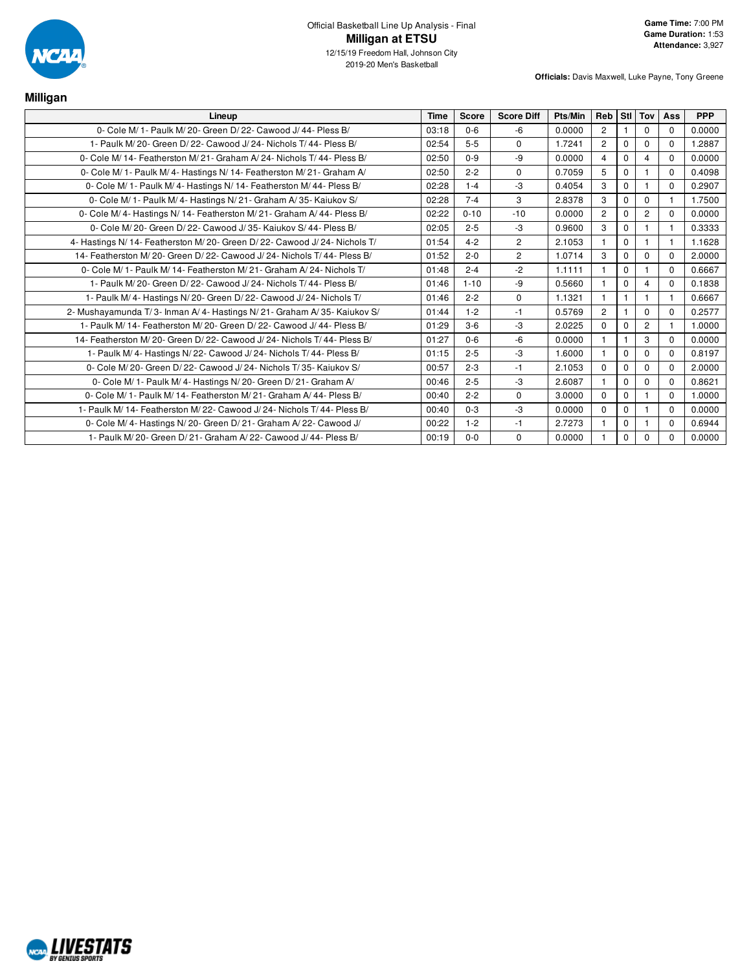

| Milligan                                                                |             |              |                   |         |                |             |                |             |            |
|-------------------------------------------------------------------------|-------------|--------------|-------------------|---------|----------------|-------------|----------------|-------------|------------|
| Lineup                                                                  | <b>Time</b> | <b>Score</b> | <b>Score Diff</b> | Pts/Min | Reb Stl Tov    |             |                | Ass         | <b>PPP</b> |
| 0- Cole M/ 1- Paulk M/ 20- Green D/ 22- Cawood J/ 44- Pless B/          | 03:18       | $0 - 6$      | -6                | 0.0000  | $\overline{2}$ |             | $\mathbf 0$    | $\Omega$    | 0.0000     |
| 1- Paulk M/20- Green D/22- Cawood J/24- Nichols T/44- Pless B/          | 02:54       | $5 - 5$      | $\mathbf 0$       | 1.7241  | $\overline{2}$ | $\Omega$    | 0              | $\Omega$    | 1.2887     |
| 0- Cole M/14- Featherston M/21- Graham A/24- Nichols T/44- Pless B/     | 02:50       | $0-9$        | -9                | 0.0000  | $\overline{4}$ | $\mathbf 0$ | $\overline{4}$ | $\mathbf 0$ | 0.0000     |
| 0- Cole M/ 1- Paulk M/ 4- Hastings N/ 14- Featherston M/ 21- Graham A/  | 02:50       | $2 - 2$      | $\mathbf 0$       | 0.7059  | 5              | $\Omega$    |                | $\Omega$    | 0.4098     |
| 0- Cole M/ 1- Paulk M/ 4- Hastings N/ 14- Featherston M/ 44- Pless B/   | 02:28       | $1 - 4$      | -3                | 0.4054  | 3              | $\Omega$    | 1              | $\Omega$    | 0.2907     |
| 0- Cole M/ 1- Paulk M/ 4- Hastings N/ 21- Graham A/ 35- Kaiukov S/      | 02:28       | $7 - 4$      | 3                 | 2.8378  | 3              | $\Omega$    | $\Omega$       |             | 1.7500     |
| 0- Cole M/4- Hastings N/14- Featherston M/21- Graham A/44- Pless B/     | 02:22       | $0 - 10$     | $-10$             | 0.0000  | $\overline{2}$ | $\Omega$    | $\overline{c}$ | $\Omega$    | 0.0000     |
| 0- Cole M/20- Green D/22- Cawood J/35- Kajukov S/44- Pless B/           | 02:05       | $2 - 5$      | $-3$              | 0.9600  | 3              | $\Omega$    | 1              |             | 0.3333     |
| 4- Hastings N/14- Featherston M/20- Green D/22- Cawood J/24- Nichols T/ | 01:54       | $4 - 2$      | $\overline{2}$    | 2.1053  |                | 0           |                |             | 1.1628     |
| 14- Featherston M/20- Green D/22- Cawood J/24- Nichols T/44- Pless B/   | 01:52       | $2 - 0$      | $\overline{c}$    | 1.0714  | 3              | $\Omega$    | 0              | $\Omega$    | 2.0000     |
| 0- Cole M/ 1- Paulk M/ 14- Featherston M/ 21- Graham A/ 24- Nichols T/  | 01:48       | $2 - 4$      | $-2$              | 1.1111  |                | $\Omega$    |                | $\Omega$    | 0.6667     |
| 1- Paulk M/20- Green D/22- Cawood J/24- Nichols T/44- Pless B/          | 01:46       | $1 - 10$     | -9                | 0.5660  |                | 0           | $\overline{4}$ | $\Omega$    | 0.1838     |
| 1- Paulk M/4- Hastings N/20- Green D/22- Cawood J/24- Nichols T/        | 01:46       | $2 - 2$      | $\mathbf 0$       | 1.1321  | $\mathbf{f}$   | 1           | 1              | $\mathbf 1$ | 0.6667     |
| 2- Mushayamunda T/3- Inman A/4- Hastings N/21- Graham A/35- Kaiukov S/  | 01:44       | $1 - 2$      | $-1$              | 0.5769  | $\overline{2}$ |             | 0              | $\mathbf 0$ | 0.2577     |
| 1- Paulk M/14- Featherston M/20- Green D/22- Cawood J/44- Pless B/      | 01:29       | $3-6$        | $-3$              | 2.0225  | $\Omega$       | $\Omega$    | $\overline{2}$ | $\mathbf 1$ | 1.0000     |
| 14- Featherston M/20- Green D/22- Cawood J/24- Nichols T/44- Pless B/   | 01:27       | $0 - 6$      | $-6$              | 0.0000  | $\mathbf{f}$   | 1           | 3              | $\Omega$    | 0.0000     |
| 1- Paulk M/4- Hastings N/22- Cawood J/24- Nichols T/44- Pless B/        | 01:15       | $2 - 5$      | -3                | 1.6000  |                | $\Omega$    | $\Omega$       | $\Omega$    | 0.8197     |
| 0- Cole M/20- Green D/22- Cawood J/24- Nichols T/35- Kajukov S/         | 00:57       | $2 - 3$      | $-1$              | 2.1053  | $\Omega$       | $\Omega$    | $\Omega$       | $\Omega$    | 2.0000     |
| 0- Cole M/ 1- Paulk M/ 4- Hastings N/ 20- Green D/ 21- Graham A/        | 00:46       | $2 - 5$      | -3                | 2.6087  |                | $\Omega$    | 0              | $\mathbf 0$ | 0.8621     |
| 0- Cole M/1- Paulk M/14- Featherston M/21- Graham A/44- Pless B/        | 00:40       | $2 - 2$      | $\Omega$          | 3.0000  | $\Omega$       | $\Omega$    | 1              | $\mathbf 0$ | 1.0000     |
| 1- Paulk M/14- Featherston M/22- Cawood J/24- Nichols T/44- Pless B/    | 00:40       | $0 - 3$      | -3                | 0.0000  | $\Omega$       | $\Omega$    | 1              | $\Omega$    | 0.0000     |
| 0- Cole M/4- Hastings N/20- Green D/21- Graham A/22- Cawood J/          | 00:22       | $1 - 2$      | -1                | 2.7273  |                | $\Omega$    | 1              | $\mathbf 0$ | 0.6944     |
| 1- Paulk M/20- Green D/21- Graham A/22- Cawood J/44- Pless B/           | 00:19       | $0-0$        | $\mathbf 0$       | 0.0000  |                | $\Omega$    | $\Omega$       | $\Omega$    | 0.0000     |